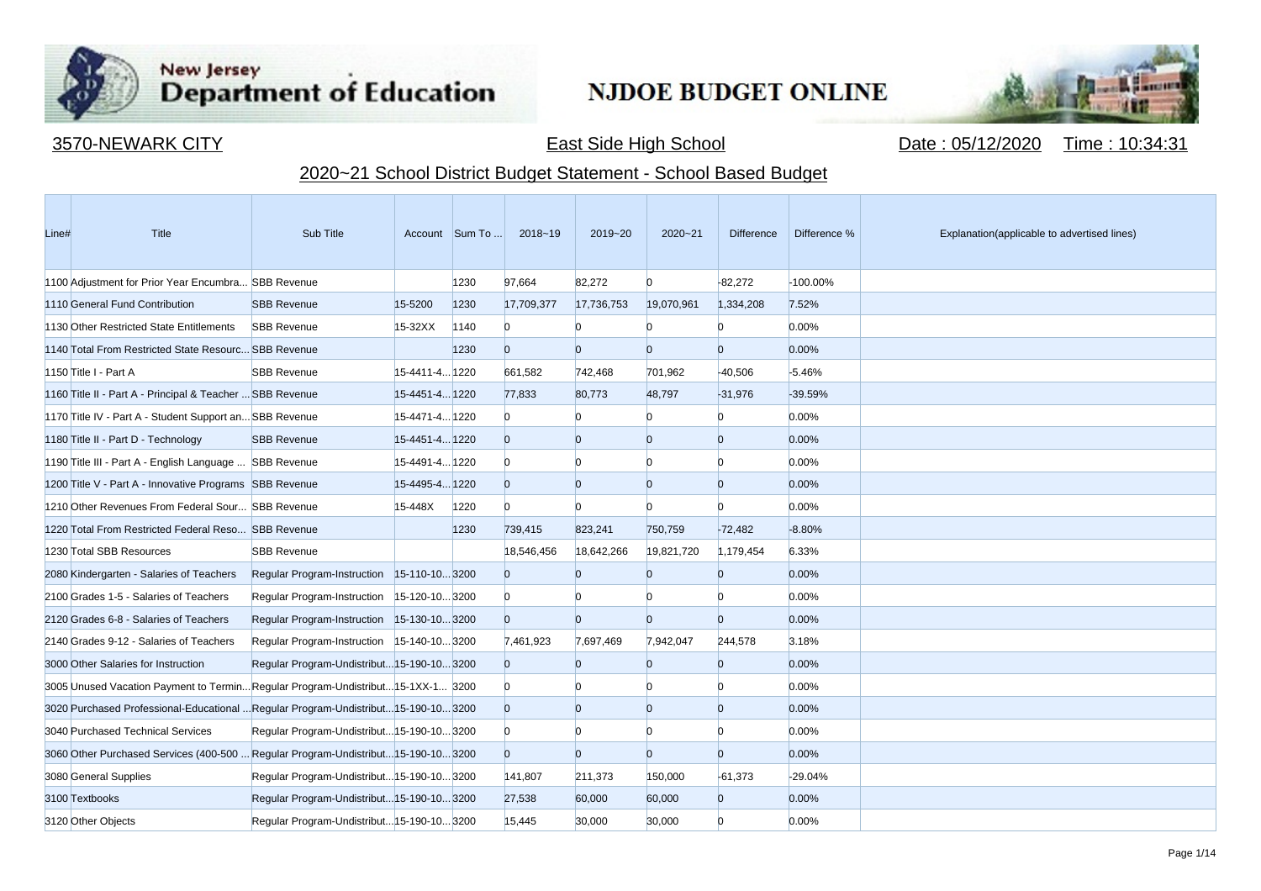

**Contract Contract** 

# New Jersey<br>Department of Education

## **NJDOE BUDGET ONLINE**



3570-NEWARK CITY East Side High School Date : 05/12/2020 Time : 10:34:31

### 2020~21 School District Budget Statement - School Based Budget

| Line# | Title                                                                              | Sub Title                                  |                | Account Sum To | 2018~19        | 2019~20        | $2020 - 21$    | <b>Difference</b> | Difference % | Explanation(applicable to advertised lines) |
|-------|------------------------------------------------------------------------------------|--------------------------------------------|----------------|----------------|----------------|----------------|----------------|-------------------|--------------|---------------------------------------------|
|       | 1100 Adjustment for Prior Year Encumbra SBB Revenue                                |                                            |                | 1230           | 97,664         | 82,272         | $\Omega$       | $-82,272$         | -100.00%     |                                             |
|       | 1110 General Fund Contribution                                                     | <b>SBB Revenue</b>                         | 15-5200        | 1230           | 17,709,377     | 17,736,753     | 19,070,961     | 1,334,208         | 7.52%        |                                             |
|       | 1130 Other Restricted State Entitlements                                           | <b>SBB Revenue</b>                         | $15-32XX$      | 1140           | $\Omega$       | n              |                | 0                 | 0.00%        |                                             |
|       | 1140 Total From Restricted State Resourc SBB Revenue                               |                                            |                | 1230           | $\overline{0}$ | $\overline{0}$ | $\Omega$       | $\overline{0}$    | 0.00%        |                                             |
|       | 1150 Title I - Part A                                                              | <b>SBB Revenue</b>                         | 15-4411-4 1220 |                | 661,582        | 742,468        | 701,962        | $-40,506$         | $-5.46%$     |                                             |
|       | 1160 Title II - Part A - Principal & Teacher  SBB Revenue                          |                                            | 15-4451-4 1220 |                | 77,833         | 80,773         | 48,797         | $-31,976$         | $-39.59%$    |                                             |
|       | 1170 Title IV - Part A - Student Support an SBB Revenue                            |                                            | 15-4471-4 1220 |                | $\Omega$       | n              | n              | $\Omega$          | 0.00%        |                                             |
|       | 1180 Title II - Part D - Technology                                                | <b>SBB Revenue</b>                         | 15-4451-4 1220 |                | $\Omega$       | $\overline{0}$ | $\overline{0}$ | $\overline{0}$    | 0.00%        |                                             |
|       | 1190 Title III - Part A - English Language  SBB Revenue                            |                                            | 15-4491-4 1220 |                | $\Omega$       | $\Omega$       | n              | n                 | 0.00%        |                                             |
|       | 1200 Title V - Part A - Innovative Programs SBB Revenue                            |                                            | 15-4495-4 1220 |                | $\overline{0}$ | $\overline{0}$ | $\overline{0}$ | $\Omega$          | 0.00%        |                                             |
|       | 1210 Other Revenues From Federal Sour SBB Revenue                                  |                                            | 15-448X        | 1220           | $\Omega$       | n              |                | n                 | 0.00%        |                                             |
|       | 1220 Total From Restricted Federal Reso SBB Revenue                                |                                            |                | 1230           | 739,415        | 823,241        | 750,759        | $-72,482$         | $-8.80%$     |                                             |
|       | 1230 Total SBB Resources                                                           | <b>SBB Revenue</b>                         |                |                | 18,546,456     | 18,642,266     | 19,821,720     | 1,179,454         | 6.33%        |                                             |
|       | 2080 Kindergarten - Salaries of Teachers                                           | Regular Program-Instruction 15-110-103200  |                |                | $\Omega$       | $\overline{0}$ | $\overline{0}$ | $\overline{0}$    | 0.00%        |                                             |
|       | 2100 Grades 1-5 - Salaries of Teachers                                             | Regular Program-Instruction 15-120-103200  |                |                | $\overline{0}$ | n              | n              | 0                 | 0.00%        |                                             |
|       | 2120 Grades 6-8 - Salaries of Teachers                                             | Regular Program-Instruction 15-130-103200  |                |                | $\overline{0}$ | $\overline{0}$ | $\overline{0}$ | $\overline{0}$    | 0.00%        |                                             |
|       | 2140 Grades 9-12 - Salaries of Teachers                                            | Regular Program-Instruction 15-140-10 3200 |                |                | 7,461,923      | 7,697,469      | 7,942,047      | 244,578           | 3.18%        |                                             |
|       | 3000 Other Salaries for Instruction                                                | Regular Program-Undistribut 15-190-10 3200 |                |                | $\overline{0}$ | $\overline{0}$ | $\overline{0}$ | $\mathbf{0}$      | 0.00%        |                                             |
|       | 3005 Unused Vacation Payment to TerminRegular Program-Undistribut15-1XX-1 3200     |                                            |                |                | $\Omega$       |                | n              | n                 | 0.00%        |                                             |
|       | 3020 Purchased Professional-Educational  Regular Program-Undistribut15-190-10 3200 |                                            |                |                | $\overline{0}$ | $\overline{0}$ | $\overline{0}$ | $\overline{0}$    | 0.00%        |                                             |
|       | 3040 Purchased Technical Services                                                  | Regular Program-Undistribut15-190-103200   |                |                | $\Omega$       | n              | n              | n                 | 0.00%        |                                             |
|       | 3060 Other Purchased Services (400-500  Regular Program-Undistribut15-190-10 3200  |                                            |                |                | $\Omega$       | $\overline{0}$ | $\Omega$       | $\Omega$          | 0.00%        |                                             |
|       | 3080 General Supplies                                                              | Regular Program-Undistribut 15-190-10 3200 |                |                | 141,807        | 211,373        | 150,000        | $-61,373$         | $-29.04%$    |                                             |
|       | 3100 Textbooks                                                                     | Regular Program-Undistribut 15-190-10 3200 |                |                | 27,538         | 60,000         | 60,000         | $\overline{0}$    | 0.00%        |                                             |
|       | 3120 Other Objects                                                                 | Regular Program-Undistribut 15-190-10 3200 |                |                | 15,445         | 30,000         | 30,000         | $\overline{0}$    | 0.00%        |                                             |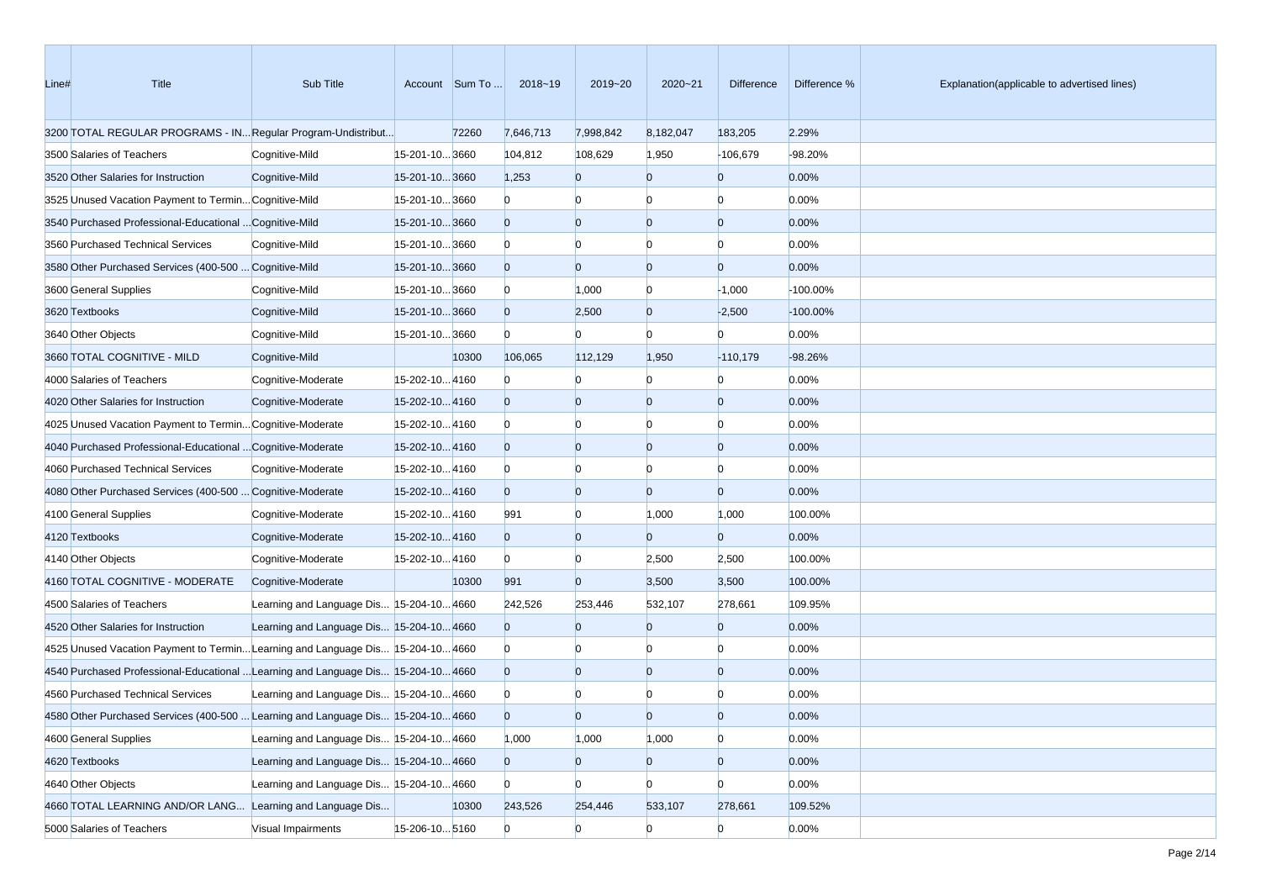| Line# | Title                                                                             | Sub Title                                |                | Account Sum To | 2018~19        | 2019~20        | 2020~21        | Difference     | Difference % | Explanation(applicable to advertised lines) |
|-------|-----------------------------------------------------------------------------------|------------------------------------------|----------------|----------------|----------------|----------------|----------------|----------------|--------------|---------------------------------------------|
|       | 3200 TOTAL REGULAR PROGRAMS - IN Regular Program-Undistribut                      |                                          |                | 72260          | 7,646,713      | 7,998,842      | 8,182,047      | 183,205        | 2.29%        |                                             |
|       | 3500 Salaries of Teachers                                                         | Cognitive-Mild                           | 15-201-10 3660 |                | 104,812        | 108,629        | 1,950          | $-106,679$     | -98.20%      |                                             |
|       | 3520 Other Salaries for Instruction                                               | Cognitive-Mild                           | 15-201-103660  |                | 1,253          | $\mathbf{0}$   | $\overline{0}$ | $\overline{0}$ | 0.00%        |                                             |
|       | 3525 Unused Vacation Payment to Termin Cognitive-Mild                             |                                          | 15-201-103660  |                | $\bf{0}$       | $\overline{0}$ | Ю              | $\Omega$       | 0.00%        |                                             |
|       | 3540 Purchased Professional-Educational  Cognitive-Mild                           |                                          | 15-201-103660  |                | $\overline{0}$ | $\overline{0}$ | $\overline{0}$ | $\Omega$       | 0.00%        |                                             |
|       | 3560 Purchased Technical Services                                                 | Cognitive-Mild                           | 15-201-103660  |                | $\bf{0}$       | $\overline{0}$ | $\Omega$       | n              | 0.00%        |                                             |
|       | 3580 Other Purchased Services (400-500  Cognitive-Mild                            |                                          | 15-201-103660  |                | $\overline{0}$ | $\Omega$       | $\overline{0}$ | $\Omega$       | 0.00%        |                                             |
|       | 3600 General Supplies                                                             | Cognitive-Mild                           | 15-201-103660  |                | $\mathbf{0}$   | 1,000          | $\overline{0}$ | $-1,000$       | -100.00%     |                                             |
|       | 3620 Textbooks                                                                    | Cognitive-Mild                           | 15-201-10 3660 |                | $\overline{0}$ | 2,500          | $\overline{0}$ | $-2,500$       | $-100.00%$   |                                             |
|       | 3640 Other Objects                                                                | Cognitive-Mild                           | 15-201-103660  |                | $\Omega$       | $\overline{0}$ | $\Omega$       | $\overline{0}$ | 0.00%        |                                             |
|       | 3660 TOTAL COGNITIVE - MILD                                                       | Cognitive-Mild                           |                | 10300          | 106,065        | 112,129        | 1,950          | $-110,179$     | -98.26%      |                                             |
|       | 4000 Salaries of Teachers                                                         | Cognitive-Moderate                       | 15-202-104160  |                | $\bf{0}$       | $\Omega$       | $\Omega$       | $\overline{0}$ | 0.00%        |                                             |
|       | 4020 Other Salaries for Instruction                                               | Cognitive-Moderate                       | 15-202-104160  |                | $\mathbf{0}$   | $\overline{0}$ | $\mathbf{0}$   | $\Omega$       | 0.00%        |                                             |
|       | 4025 Unused Vacation Payment to Termin Cognitive-Moderate                         |                                          | 15-202-104160  |                | $\bf{0}$       | $\Omega$       | $\Omega$       | n              | 0.00%        |                                             |
|       | 4040 Purchased Professional-Educational  Cognitive-Moderate                       |                                          | 15-202-104160  |                | $\overline{0}$ | $\overline{0}$ | $\overline{0}$ | $\Omega$       | 0.00%        |                                             |
|       | 4060 Purchased Technical Services                                                 | Cognitive-Moderate                       | 15-202-104160  |                | $\bf{0}$       | $\Omega$       | $\Omega$       | $\Omega$       | 0.00%        |                                             |
|       | 4080 Other Purchased Services (400-500  Cognitive-Moderate                        |                                          | 15-202-104160  |                | $\overline{0}$ | $\overline{0}$ | $\Omega$       | $\overline{0}$ | 0.00%        |                                             |
|       | 4100 General Supplies                                                             | Cognitive-Moderate                       | 15-202-104160  |                | 991            | $\overline{0}$ | 1,000          | 1,000          | 100.00%      |                                             |
|       | 4120 Textbooks                                                                    | Cognitive-Moderate                       | 15-202-104160  |                | $\overline{0}$ | $\overline{0}$ | $\Omega$       | $\overline{0}$ | 0.00%        |                                             |
|       | 4140 Other Objects                                                                | Cognitive-Moderate                       | 15-202-104160  |                | $\bf{0}$       | $\overline{0}$ | 2,500          | 2,500          | 100.00%      |                                             |
|       | 4160 TOTAL COGNITIVE - MODERATE                                                   | Cognitive-Moderate                       |                | 10300          | 991            | $\overline{0}$ | 3,500          | 3,500          | 100.00%      |                                             |
|       | 4500 Salaries of Teachers                                                         | Learning and Language Dis 15-204-10 4660 |                |                | 242,526        | 253,446        | 532,107        | 278,661        | 109.95%      |                                             |
|       | 4520 Other Salaries for Instruction                                               | Learning and Language Dis 15-204-10 4660 |                |                | $\overline{0}$ | $\overline{0}$ | $\overline{0}$ | $\overline{0}$ | 0.00%        |                                             |
|       | 4525 Unused Vacation Payment to Termin Learning and Language Dis 15-204-10 4660   |                                          |                |                | $\Omega$       | $\Omega$       | $\Omega$       | $\Omega$       | 0.00%        |                                             |
|       | 4540 Purchased Professional-Educational  Learning and Language Dis 15-204-10 4660 |                                          |                |                | $\overline{0}$ | $\overline{0}$ | $\overline{0}$ | $\overline{0}$ | 0.00%        |                                             |
|       | 4560 Purchased Technical Services                                                 | Learning and Language Dis 15-204-10 4660 |                |                | $\Omega$       |                |                |                | 0.00%        |                                             |
|       | 4580 Other Purchased Services (400-500  Learning and Language Dis 15-204-10 4660  |                                          |                |                | $\Omega$       | $\Omega$       | $\Omega$       |                | 0.00%        |                                             |
|       | 4600 General Supplies                                                             | Learning and Language Dis 15-204-10 4660 |                |                | 1,000          | 1,000          | 1,000          | $\overline{0}$ | 0.00%        |                                             |
|       | 4620 Textbooks                                                                    | Learning and Language Dis 15-204-10 4660 |                |                | $\overline{0}$ | $\overline{0}$ | $\mathbf{0}$   | $\overline{0}$ | 0.00%        |                                             |
|       | 4640 Other Objects                                                                | Learning and Language Dis 15-204-10 4660 |                |                | $\Omega$       | $\overline{0}$ | $\Omega$       | $\overline{0}$ | 0.00%        |                                             |
|       | 4660 TOTAL LEARNING AND/OR LANG Learning and Language Dis                         |                                          |                | 10300          | 243,526        | 254,446        | 533,107        | 278,661        | 109.52%      |                                             |
|       | 5000 Salaries of Teachers                                                         | Visual Impairments                       | 15-206-10 5160 |                | $\overline{0}$ | $\overline{0}$ | $\Omega$       | $\overline{0}$ | 0.00%        |                                             |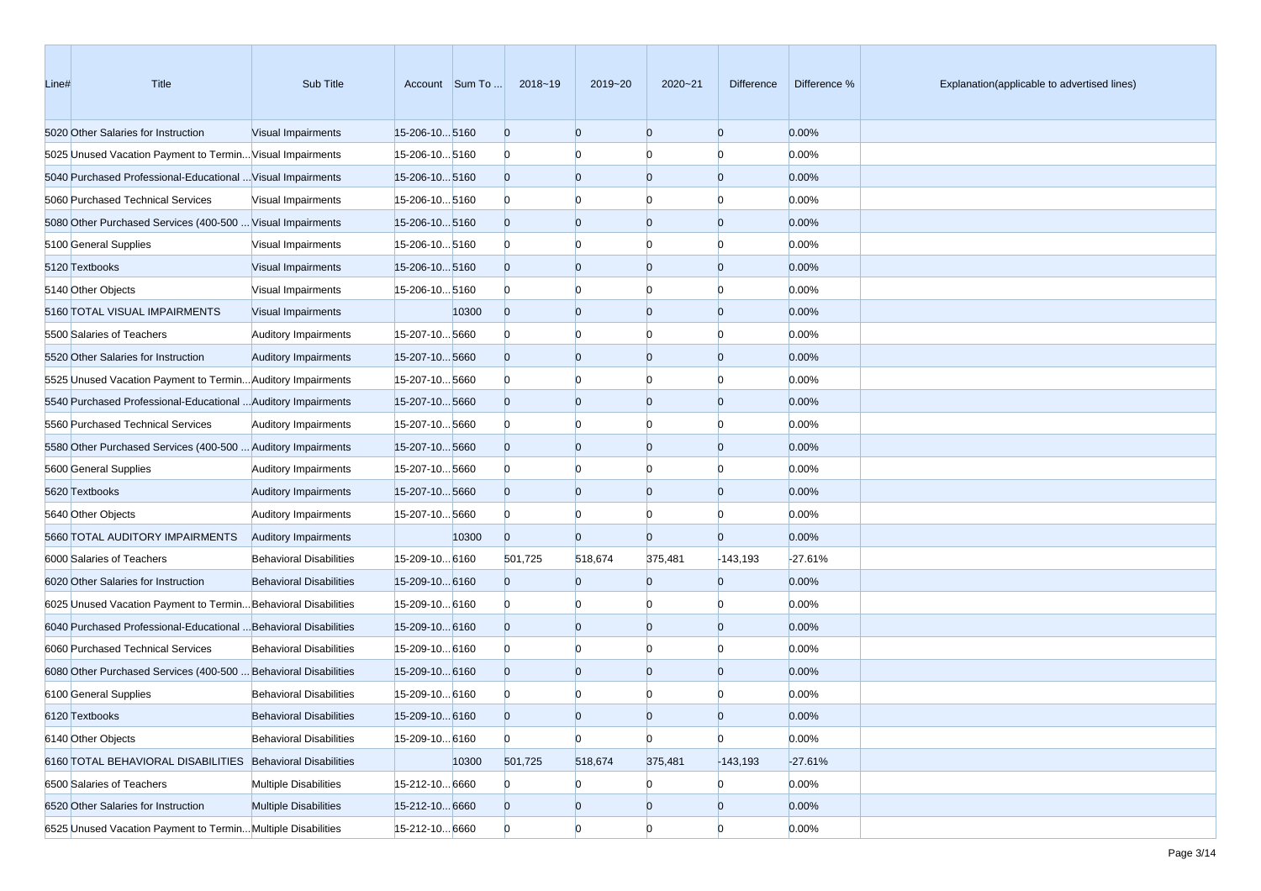| Line# | Title                                                            | Sub Title                      |                      | Account Sum To | 2018~19        | 2019~20        | 2020~21        | Difference     | Difference % | Explanation(applicable to advertised lines) |
|-------|------------------------------------------------------------------|--------------------------------|----------------------|----------------|----------------|----------------|----------------|----------------|--------------|---------------------------------------------|
|       | 5020 Other Salaries for Instruction                              | Visual Impairments             | 15-206-105160        |                | $\overline{0}$ | $\overline{0}$ | $\overline{0}$ | $\overline{0}$ | 0.00%        |                                             |
|       | 5025 Unused Vacation Payment to Termin Visual Impairments        |                                | 15-206-105160        |                | $\mathbf{0}$   | $\Omega$       | $\Omega$       | $\Omega$       | 0.00%        |                                             |
|       | 5040 Purchased Professional-Educational  Visual Impairments      |                                | 15-206-105160        |                | $\overline{0}$ | $\overline{0}$ | $\overline{0}$ | $\overline{0}$ | 0.00%        |                                             |
|       | 5060 Purchased Technical Services                                | <b>Visual Impairments</b>      | 15-206-105160        |                | $\mathbf{0}$   | $\Omega$       | $\Omega$       | n              | 0.00%        |                                             |
|       | 5080 Other Purchased Services (400-500  Visual Impairments       |                                | 15-206-105160        |                | $\overline{0}$ | $\Omega$       | $\overline{0}$ | $\Omega$       | 0.00%        |                                             |
|       | 5100 General Supplies                                            | Visual Impairments             | 15-206-10 5160       |                | $\mathbf{0}$   | $\Omega$       | $\Omega$       | n              | 0.00%        |                                             |
|       | 5120 Textbooks                                                   | Visual Impairments             | 15-206-10 5160       |                | $\overline{0}$ | $\overline{0}$ | $\overline{0}$ | $\overline{0}$ | 0.00%        |                                             |
|       | 5140 Other Objects                                               | Visual Impairments             | 15-206-10 5160       |                | $\mathbf{0}$   | $\Omega$       | $\Omega$       | $\Omega$       | 0.00%        |                                             |
|       | 5160 TOTAL VISUAL IMPAIRMENTS                                    | Visual Impairments             |                      | 10300          | $\overline{0}$ | $\Omega$       | $\overline{0}$ | $\Omega$       | 0.00%        |                                             |
|       | 5500 Salaries of Teachers                                        | <b>Auditory Impairments</b>    | 15-207-105660        |                | $\mathbf{0}$   | $\Omega$       | $\Omega$       | O              | 0.00%        |                                             |
|       | 5520 Other Salaries for Instruction                              | <b>Auditory Impairments</b>    | 15-207-105660        |                | $\overline{0}$ | $\Omega$       | $\overline{0}$ | $\Omega$       | 0.00%        |                                             |
|       | 5525 Unused Vacation Payment to Termin Auditory Impairments      |                                | 15-207-10 5660       |                | $\mathbf{0}$   | $\Omega$       | $\Omega$       | n              | 0.00%        |                                             |
|       | 5540 Purchased Professional-Educational  Auditory Impairments    |                                | 15-207-10 5660       |                | $\overline{0}$ | $\Omega$       | $\overline{0}$ | $\overline{0}$ | 0.00%        |                                             |
|       | 5560 Purchased Technical Services                                | <b>Auditory Impairments</b>    | 15-207-105660        |                | $\mathbf{0}$   | $\Omega$       | $\Omega$       | $\Omega$       | 0.00%        |                                             |
|       | 5580 Other Purchased Services (400-500  Auditory Impairments     |                                | 15-207-105660        |                | $\overline{0}$ | $\Omega$       | $\overline{0}$ | $\Omega$       | 0.00%        |                                             |
|       | 5600 General Supplies                                            | <b>Auditory Impairments</b>    | 15-207-105660        |                | $\mathbf{0}$   | $\Omega$       | $\Omega$       | n              | 0.00%        |                                             |
|       | 5620 Textbooks                                                   | <b>Auditory Impairments</b>    | 15-207-10 5660       |                | $\overline{0}$ | $\Omega$       | $\overline{0}$ | $\Omega$       | 0.00%        |                                             |
|       | 5640 Other Objects                                               | <b>Auditory Impairments</b>    | 15-207-10 5660       |                | $\mathbf{0}$   | $\Omega$       | n              | n              | 0.00%        |                                             |
|       | 5660 TOTAL AUDITORY IMPAIRMENTS                                  | <b>Auditory Impairments</b>    |                      | 10300          | $\overline{0}$ | $\Omega$       | $\Omega$       | $\overline{0}$ | 0.00%        |                                             |
|       | 6000 Salaries of Teachers                                        | <b>Behavioral Disabilities</b> | 15-209-10 6160       |                | 501,725        | 518,674        | 375,481        | $-143,193$     | $-27.61%$    |                                             |
|       | 6020 Other Salaries for Instruction                              | <b>Behavioral Disabilities</b> | 15-209-10 6160       |                | $\overline{0}$ | $\Omega$       | $\Omega$       | $\overline{0}$ | 0.00%        |                                             |
|       | 6025 Unused Vacation Payment to Termin Behavioral Disabilities   |                                | 15-209-10 6160       |                | $\mathbf{0}$   | $\Omega$       | 0              | n              | 0.00%        |                                             |
|       | 6040 Purchased Professional-Educational  Behavioral Disabilities |                                | $15 - 209 - 10 6160$ |                | $\overline{0}$ | $\Omega$       | $\overline{0}$ | $\Omega$       | 0.00%        |                                             |
|       | 6060 Purchased Technical Services                                | <b>Behavioral Disabilities</b> | 15-209-10 6160       |                | $\mathbf{0}$   | $\Omega$       | $\Omega$       | n              | 0.00%        |                                             |
|       | 6080 Other Purchased Services (400-500  Behavioral Disabilities  |                                | 15-209-10 6160       |                | $\overline{0}$ | $\Omega$       | $\overline{0}$ | $\Omega$       | 0.00%        |                                             |
|       | 6100 General Supplies                                            | <b>Behavioral Disabilities</b> | 15-209-10 6160       |                | $\mathbf{0}$   |                |                |                | 0.00%        |                                             |
|       | 6120 Textbooks                                                   | <b>Behavioral Disabilities</b> | 15-209-10 6160       |                | $\Omega$       | $\Omega$       | $\Omega$       | n              | 0.00%        |                                             |
|       | 6140 Other Objects                                               | <b>Behavioral Disabilities</b> | 15-209-10 6160       |                | $\overline{0}$ | $\overline{0}$ | $\overline{0}$ | $\overline{0}$ | 0.00%        |                                             |
|       | 6160 TOTAL BEHAVIORAL DISABILITIES Behavioral Disabilities       |                                |                      | 10300          | 501,725        | 518,674        | 375,481        | $-143,193$     | $-27.61%$    |                                             |
|       | 6500 Salaries of Teachers                                        | <b>Multiple Disabilities</b>   | 15-212-10 6660       |                | $\bf{0}$       | $\Omega$       | $\overline{0}$ | $\overline{0}$ | 0.00%        |                                             |
|       | 6520 Other Salaries for Instruction                              | <b>Multiple Disabilities</b>   | 15-212-106660        |                | $\overline{0}$ | $\mathbf{0}$   | $\overline{0}$ | $\overline{0}$ | 0.00%        |                                             |
|       | 6525 Unused Vacation Payment to Termin Multiple Disabilities     |                                | 15-212-10 6660       |                | $\overline{0}$ | $\overline{0}$ | $\Omega$       | $\overline{0}$ | 0.00%        |                                             |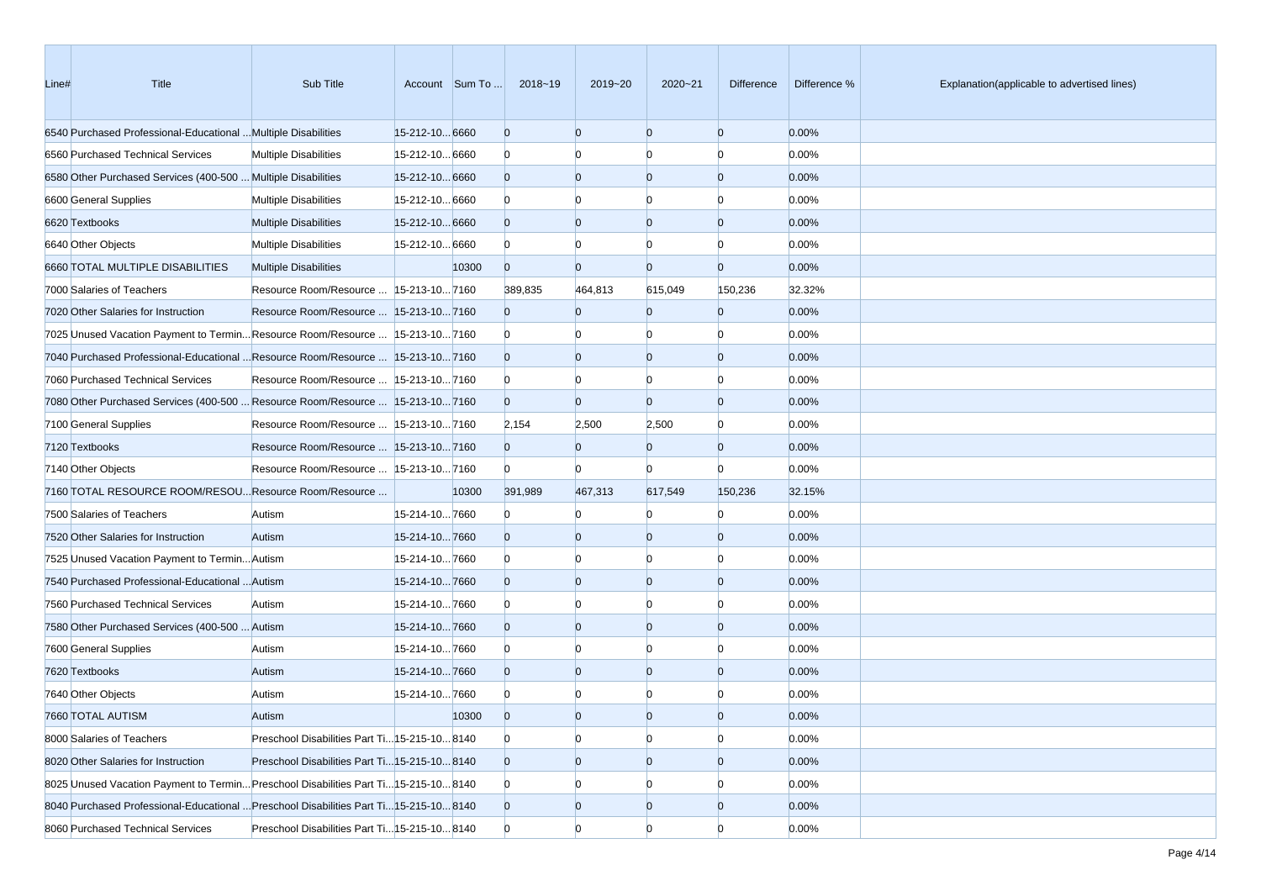| Line# | Title                                                                                 | Sub Title                                     |                | Account Sum To | 2018~19        | 2019~20        | 2020~21        | Difference     | Difference % | Explanation(applicable to advertised lines) |
|-------|---------------------------------------------------------------------------------------|-----------------------------------------------|----------------|----------------|----------------|----------------|----------------|----------------|--------------|---------------------------------------------|
|       | 6540 Purchased Professional-Educational  Multiple Disabilities                        |                                               | 15-212-10 6660 |                | $\overline{0}$ | $\overline{0}$ | $\overline{0}$ | $\overline{0}$ | 0.00%        |                                             |
|       | 6560 Purchased Technical Services                                                     | <b>Multiple Disabilities</b>                  | 15-212-10 6660 |                | $\bf{0}$       | $\Omega$       | $\Omega$       | $\Omega$       | 0.00%        |                                             |
|       | 6580 Other Purchased Services (400-500  Multiple Disabilities                         |                                               | 15-212-10 6660 |                | $\overline{0}$ | $\overline{0}$ | $\overline{0}$ | $\overline{0}$ | 0.00%        |                                             |
|       | 6600 General Supplies                                                                 | <b>Multiple Disabilities</b>                  | 15-212-10 6660 |                | $\Omega$       | $\Omega$       | $\Omega$       | $\Omega$       | 0.00%        |                                             |
|       | 6620 Textbooks                                                                        | <b>Multiple Disabilities</b>                  | 15-212-10 6660 |                | $\overline{0}$ | $\overline{0}$ | $\overline{0}$ | $\Omega$       | 0.00%        |                                             |
|       | 6640 Other Objects                                                                    | <b>Multiple Disabilities</b>                  | 15-212-10 6660 |                | $\Omega$       | $\Omega$       | $\Omega$       | n              | 0.00%        |                                             |
|       | 6660 TOTAL MULTIPLE DISABILITIES                                                      | <b>Multiple Disabilities</b>                  |                | 10300          | $\overline{0}$ | $\Omega$       | $\Omega$       | $\overline{0}$ | 0.00%        |                                             |
|       | 7000 Salaries of Teachers                                                             | Resource Room/Resource   15-213-10 7160       |                |                | 389,835        | 464,813        | 615,049        | 150,236        | 32.32%       |                                             |
|       | 7020 Other Salaries for Instruction                                                   | Resource Room/Resource   15-213-10 7160       |                |                | $\overline{0}$ | $\Omega$       | $\Omega$       | $\overline{0}$ | 0.00%        |                                             |
|       | 7025 Unused Vacation Payment to TerminResource Room/Resource  15-213-107160           |                                               |                |                | $\mathbf{0}$   | $\Omega$       | $\Omega$       | $\Omega$       | 0.00%        |                                             |
|       | 7040 Purchased Professional-Educational  Resource Room/Resource  15-213-10 7160       |                                               |                |                | $\overline{0}$ | $\overline{0}$ | $\overline{0}$ | $\overline{0}$ | 0.00%        |                                             |
|       | 7060 Purchased Technical Services                                                     | Resource Room/Resource   15-213-10 7160       |                |                | $\Omega$       | $\overline{0}$ | $\Omega$       | n              | 0.00%        |                                             |
|       | 7080 Other Purchased Services (400-500  Resource Room/Resource  15-213-10 7160        |                                               |                |                | $\overline{0}$ | $\Omega$       | $\Omega$       | $\Omega$       | 0.00%        |                                             |
|       | 7100 General Supplies                                                                 | Resource Room/Resource   15-213-10 7160       |                |                | 2,154          | 2,500          | 2,500          | $\Omega$       | 0.00%        |                                             |
|       | 7120 Textbooks                                                                        | Resource Room/Resource   15-213-10 7160       |                |                | $\overline{0}$ | $\overline{0}$ | $\Omega$       | $\overline{0}$ | 0.00%        |                                             |
|       | 7140 Other Objects                                                                    | Resource Room/Resource   15-213-10 7160       |                |                | $\Omega$       | $\Omega$       | n              | $\Omega$       | 0.00%        |                                             |
|       | 7160 TOTAL RESOURCE ROOM/RESOU Resource Room/Resource                                 |                                               |                | 10300          | 391,989        | 467,313        | 617,549        | 150,236        | 32.15%       |                                             |
|       | 7500 Salaries of Teachers                                                             | Autism                                        | 15-214-107660  |                | $\mathbf{0}$   | $\Omega$       | $\Omega$       | $\Omega$       | 0.00%        |                                             |
|       | 7520 Other Salaries for Instruction                                                   | Autism                                        | 15-214-107660  |                | $\overline{0}$ | $\overline{0}$ | $\overline{0}$ | $\overline{0}$ | 0.00%        |                                             |
|       | 7525 Unused Vacation Payment to Termin Autism                                         |                                               | 15-214-107660  |                | $\Omega$       | $\Omega$       | $\Omega$       | n              | 0.00%        |                                             |
|       | 7540 Purchased Professional-Educational  Autism                                       |                                               | 15-214-107660  |                | $\overline{0}$ | $\overline{0}$ | $\overline{0}$ | $\Omega$       | 0.00%        |                                             |
|       | 7560 Purchased Technical Services                                                     | Autism                                        | 15-214-107660  |                | $\Omega$       | $\Omega$       | $\Omega$       | n              | 0.00%        |                                             |
|       | 7580 Other Purchased Services (400-500  Autism                                        |                                               | 15-214-107660  |                | $\overline{0}$ | $\overline{0}$ | $\Omega$       | $\Omega$       | 0.00%        |                                             |
|       | 7600 General Supplies                                                                 | Autism                                        | 15-214-107660  |                | $\Omega$       | $\Omega$       | $\Omega$       | n              | 0.00%        |                                             |
|       | 7620 Textbooks                                                                        | Autism                                        | 15-214-107660  |                | $\overline{0}$ | $\overline{0}$ | $\overline{0}$ | $\Omega$       | 0.00%        |                                             |
|       | 7640 Other Objects                                                                    | Autism                                        | 15-214-107660  |                | $\Omega$       |                |                |                | 0.00%        |                                             |
|       | 7660 TOTAL AUTISM                                                                     | Autism                                        |                | 10300          | $\Omega$       | $\Omega$       | $\Omega$       |                | 0.00%        |                                             |
|       | 8000 Salaries of Teachers                                                             | Preschool Disabilities Part Ti 15-215-10 8140 |                |                | $\mathbf{0}$   | $\overline{0}$ | $\overline{0}$ | $\overline{0}$ | 0.00%        |                                             |
|       | 8020 Other Salaries for Instruction                                                   | Preschool Disabilities Part Ti 15-215-10 8140 |                |                | $\mathbf{0}$   | $\overline{0}$ | $\mathbf{0}$   | $\overline{0}$ | 0.00%        |                                             |
|       | 8025 Unused Vacation Payment to Termin Preschool Disabilities Part Ti 15-215-10 8140  |                                               |                |                | $\mathbf{0}$   | $\bf{0}$       | $\bf{0}$       | n              | 0.00%        |                                             |
|       | 8040 Purchased Professional-Educational  Preschool Disabilities Part Ti15-215-10 8140 |                                               |                |                | $\mathbf{0}$   | $\mathbf{0}$   | $\mathbf{0}$   | $\overline{0}$ | 0.00%        |                                             |
|       | 8060 Purchased Technical Services                                                     | Preschool Disabilities Part Ti 15-215-10 8140 |                |                | $\mathbf{0}$   | $\overline{0}$ | $\Omega$       | $\Omega$       | 0.00%        |                                             |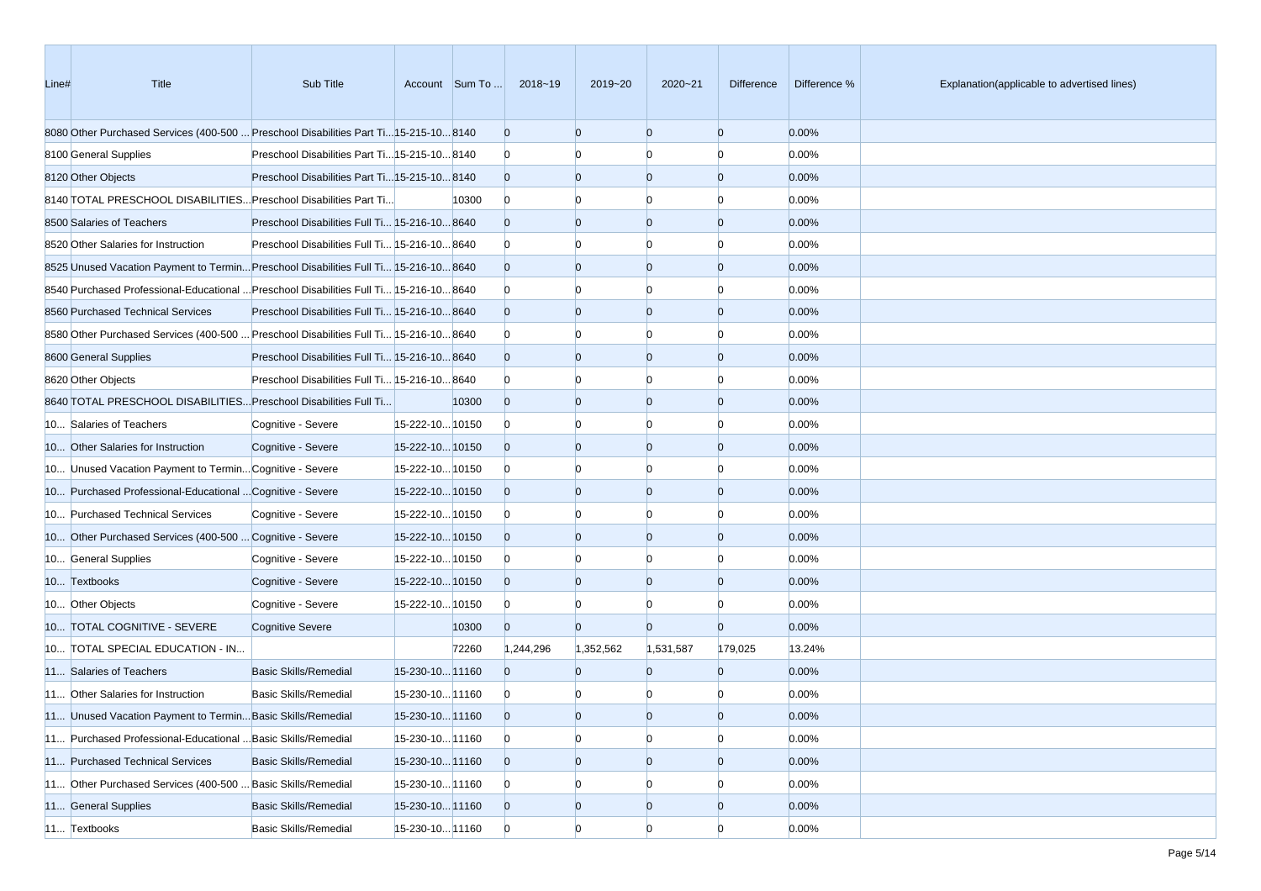| Line# | Title                                                                                  | Sub Title                                     |                 | Account Sum To | 2018~19        | 2019~20        | 2020~21        | Difference     | Difference % | Explanation(applicable to advertised lines) |
|-------|----------------------------------------------------------------------------------------|-----------------------------------------------|-----------------|----------------|----------------|----------------|----------------|----------------|--------------|---------------------------------------------|
|       | 8080 Other Purchased Services (400-500  Preschool Disabilities Part Ti15-215-10 8140   |                                               |                 |                | $\mathbf{0}$   | $\overline{0}$ | $\overline{0}$ | $\overline{0}$ | 0.00%        |                                             |
|       | 8100 General Supplies                                                                  | Preschool Disabilities Part Ti 15-215-10 8140 |                 |                | $\mathbf{0}$   | n              |                | n              | 0.00%        |                                             |
|       | 8120 Other Objects                                                                     | Preschool Disabilities Part Ti 15-215-10 8140 |                 |                | $\overline{0}$ | $\overline{0}$ | $\overline{0}$ | $\mathbf{0}$   | 0.00%        |                                             |
|       | 8140 TOTAL PRESCHOOL DISABILITIES Preschool Disabilities Part Ti                       |                                               |                 | 10300          | $\mathbf{0}$   | $\Omega$       | n              | n              | 0.00%        |                                             |
|       | 8500 Salaries of Teachers                                                              | Preschool Disabilities Full Ti 15-216-10 8640 |                 |                | $\mathbf{0}$   | $\overline{0}$ | $\overline{0}$ | $\mathbf{0}$   | 0.00%        |                                             |
|       | 8520 Other Salaries for Instruction                                                    | Preschool Disabilities Full Ti 15-216-10 8640 |                 |                | $\mathbf{0}$   | $\Omega$       | $\Omega$       | $\Omega$       | 0.00%        |                                             |
|       | 8525 Unused Vacation Payment to Termin Preschool Disabilities Full Ti 15-216-10 8640   |                                               |                 |                | $\overline{0}$ | $\overline{0}$ | $\overline{0}$ | $\overline{0}$ | 0.00%        |                                             |
|       | 8640 Purchased Professional-Educational  Preschool Disabilities Full Ti 15-216-10 8640 |                                               |                 |                | $\bf{0}$       | n              | n              | n              | 0.00%        |                                             |
|       | 8560 Purchased Technical Services                                                      | Preschool Disabilities Full Ti 15-216-10 8640 |                 |                | $\overline{0}$ | $\overline{0}$ | $\overline{0}$ | $\overline{0}$ | 0.00%        |                                             |
|       | 8680 Other Purchased Services (400-500  Preschool Disabilities Full Ti 15-216-10 8640  |                                               |                 |                | $\mathbf{0}$   | n              |                | n              | 0.00%        |                                             |
|       | 8600 General Supplies                                                                  | Preschool Disabilities Full Ti 15-216-10 8640 |                 |                | $\overline{0}$ | $\overline{0}$ | $\overline{0}$ | $\mathbf{0}$   | 0.00%        |                                             |
|       | 8620 Other Objects                                                                     | Preschool Disabilities Full Ti 15-216-10 8640 |                 |                | $\bf{0}$       | $\Omega$       | n              | n              | 0.00%        |                                             |
|       | 8640 TOTAL PRESCHOOL DISABILITIES Preschool Disabilities Full Ti                       |                                               |                 | 10300          | $\mathbf{0}$   | $\overline{0}$ | $\overline{0}$ | $\mathbf{0}$   | 0.00%        |                                             |
|       | 10 Salaries of Teachers                                                                | Cognitive - Severe                            | 15-222-10 10150 |                | $\bf{0}$       | $\Omega$       | $\Omega$       | n              | 0.00%        |                                             |
|       | 10 Other Salaries for Instruction                                                      | Cognitive - Severe                            | 15-222-1010150  |                | $\overline{0}$ | $\overline{0}$ | $\overline{0}$ | $\mathbf{0}$   | 0.00%        |                                             |
|       | 10 Unused Vacation Payment to Termin Cognitive - Severe                                |                                               | 15-222-10 10150 |                | $\bf{0}$       | n              | n              | n              | 0.00%        |                                             |
|       | 10 Purchased Professional-Educational  Cognitive - Severe                              |                                               | 15-222-10 10150 |                | $\overline{0}$ | $\overline{0}$ | $\overline{0}$ | $\mathbf{0}$   | 0.00%        |                                             |
|       | 10 Purchased Technical Services                                                        | Cognitive - Severe                            | 15-222-10 10150 |                | $\bf{0}$       | n              |                | n              | 0.00%        |                                             |
|       | 10 Other Purchased Services (400-500  Cognitive - Severe                               |                                               | 15-222-10 10150 |                | $\overline{0}$ | $\overline{0}$ | $\overline{0}$ | $\mathbf{0}$   | 0.00%        |                                             |
|       | 10 General Supplies                                                                    | Cognitive - Severe                            | 15-222-10 10150 |                | $\bf{0}$       | $\Omega$       | n              | $\Omega$       | 0.00%        |                                             |
|       | 10 Textbooks                                                                           | Cognitive - Severe                            | 15-222-10 10150 |                | $\overline{0}$ | $\overline{0}$ | $\overline{0}$ | $\mathbf{0}$   | 0.00%        |                                             |
|       | 10 Other Objects                                                                       | Cognitive - Severe                            | 15-222-10 10150 |                | $\bf{0}$       | $\Omega$       |                | $\Omega$       | 0.00%        |                                             |
|       | 10 TOTAL COGNITIVE - SEVERE                                                            | <b>Cognitive Severe</b>                       |                 | 10300          | $\overline{0}$ | $\overline{0}$ | $\Omega$       | $\mathbf{0}$   | 0.00%        |                                             |
|       | 10 TOTAL SPECIAL EDUCATION - IN                                                        |                                               |                 | 72260          | 1,244,296      | 1,352,562      | 1,531,587      | 179,025        | 13.24%       |                                             |
|       | 11 Salaries of Teachers                                                                | <b>Basic Skills/Remedial</b>                  | 15-230-10 11160 |                | $\Omega$       | $\Omega$       | $\Omega$       | $\overline{0}$ | 0.00%        |                                             |
|       | 11 Other Salaries for Instruction                                                      | <b>Basic Skills/Remedial</b>                  | 15-230-10 11160 |                | $\bf{0}$       | n              |                | n              | 0.00%        |                                             |
|       | 11 Unused Vacation Payment to Termin Basic Skills/Remedial                             |                                               | 15-230-10 11160 |                | $\overline{0}$ | $\Omega$       | $\Omega$       | $\Omega$       | 0.00%        |                                             |
|       | 11 Purchased Professional-Educational  Basic Skills/Remedial                           |                                               | 15-230-10 11160 |                | $\overline{0}$ | $\overline{0}$ | $\overline{0}$ | $\overline{0}$ | 0.00%        |                                             |
|       | 11 Purchased Technical Services                                                        | <b>Basic Skills/Remedial</b>                  | 15-230-10 11160 |                | $\overline{0}$ | $\mathbf{0}$   | $\overline{0}$ | $\overline{0}$ | 0.00%        |                                             |
|       | 11 Other Purchased Services (400-500  Basic Skills/Remedial                            |                                               | 15-230-10 11160 |                | $\mathbf{0}$   | $\overline{0}$ |                | $\Omega$       | 0.00%        |                                             |
|       | 11 General Supplies                                                                    | <b>Basic Skills/Remedial</b>                  | 15-230-10 11160 |                | $\overline{0}$ | $\mathbf{0}$   | $\mathbf{0}$   | $\overline{0}$ | 0.00%        |                                             |
|       | 11 Textbooks                                                                           | Basic Skills/Remedial                         | 15-230-10 11160 |                | $\overline{0}$ | $\overline{0}$ | $\Omega$       | $\Omega$       | 0.00%        |                                             |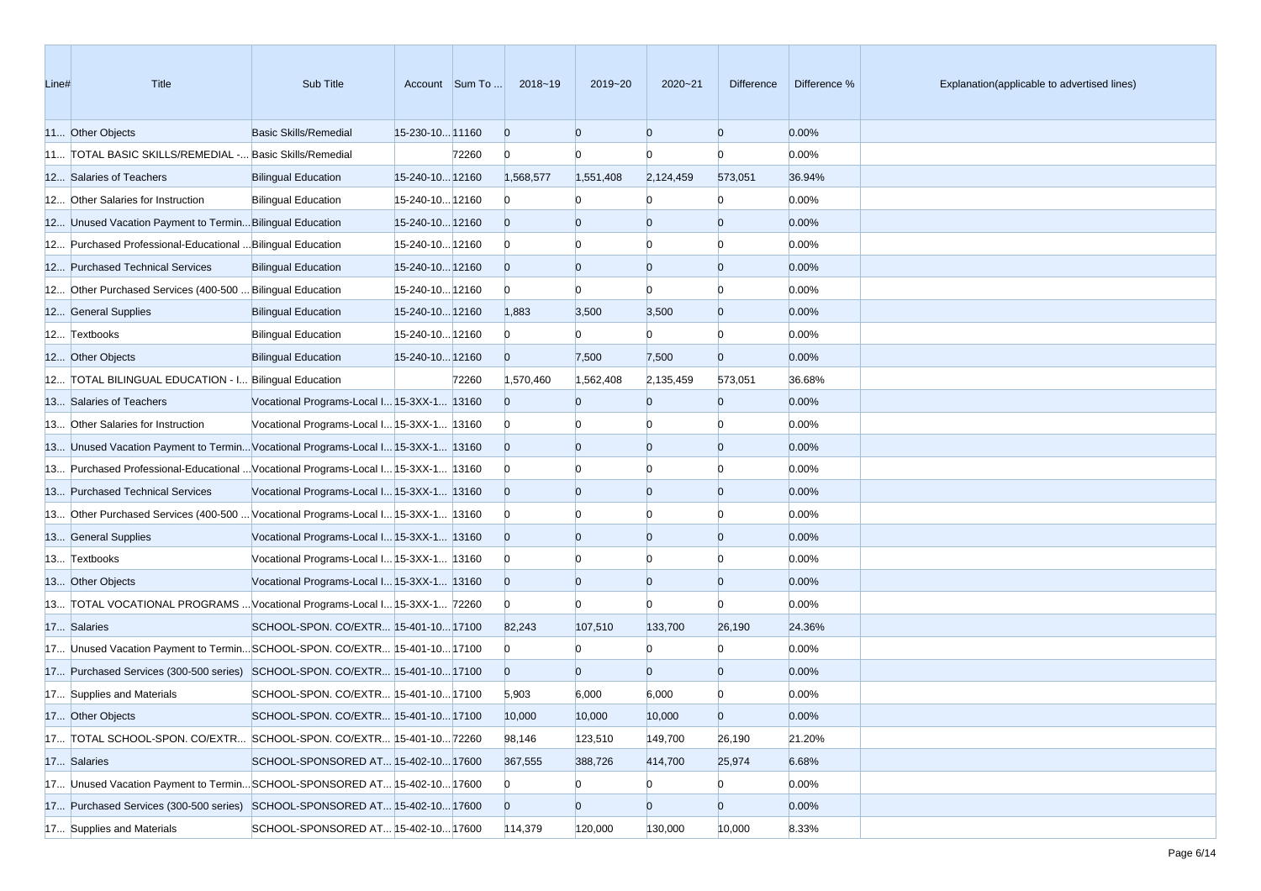| Line# | Title                                                                             | Sub Title                                  |                 | Account Sum To | 2018~19        | 2019~20        | 2020~21        | Difference     | Difference % | Explanation(applicable to advertised lines) |
|-------|-----------------------------------------------------------------------------------|--------------------------------------------|-----------------|----------------|----------------|----------------|----------------|----------------|--------------|---------------------------------------------|
|       | 11 Other Objects                                                                  | <b>Basic Skills/Remedial</b>               | 15-230-10 11160 |                | $\overline{0}$ | $\overline{0}$ | $\overline{0}$ | $\mathbf{0}$   | 0.00%        |                                             |
|       | 11 TOTAL BASIC SKILLS/REMEDIAL - Basic Skills/Remedial                            |                                            |                 | 72260          | $\mathbf{0}$   | $\Omega$       | $\Omega$       | $\overline{0}$ | 0.00%        |                                             |
|       | 12 Salaries of Teachers                                                           | <b>Bilingual Education</b>                 | 15-240-10 12160 |                | 1,568,577      | 1,551,408      | 2,124,459      | 573,051        | 36.94%       |                                             |
|       | 12 Other Salaries for Instruction                                                 | <b>Bilingual Education</b>                 | 15-240-10 12160 |                | $\mathbf{0}$   | n              | n              | $\Omega$       | 0.00%        |                                             |
|       | 12 Unused Vacation Payment to Termin Bilingual Education                          |                                            | 15-240-10 12160 |                | $\overline{0}$ | $\Omega$       | $\Omega$       | $\overline{0}$ | 0.00%        |                                             |
|       | 12 Purchased Professional-Educational  Bilingual Education                        |                                            | 15-240-10 12160 |                | $\mathbf{0}$   | $\Omega$       |                | $\Omega$       | 0.00%        |                                             |
|       | 12 Purchased Technical Services                                                   | <b>Bilingual Education</b>                 | 15-240-10 12160 |                | $\overline{0}$ | $\overline{0}$ | $\overline{0}$ | $\overline{0}$ | 0.00%        |                                             |
|       | 12 Other Purchased Services (400-500  Bilingual Education                         |                                            | 15-240-10 12160 |                | $\mathbf{0}$   | $\Omega$       | n              | $\Omega$       | 0.00%        |                                             |
|       | 12 General Supplies                                                               | <b>Bilingual Education</b>                 | 15-240-10 12160 |                | 1,883          | 3,500          | 3,500          | $\overline{0}$ | 0.00%        |                                             |
|       | 12 Textbooks                                                                      | <b>Bilingual Education</b>                 | 15-240-10 12160 |                | $\mathbf{0}$   | $\Omega$       | n              | $\overline{0}$ | 0.00%        |                                             |
|       | 12 Other Objects                                                                  | <b>Bilingual Education</b>                 | 15-240-10 12160 |                | $\overline{0}$ | 7,500          | 7,500          | $\overline{0}$ | 0.00%        |                                             |
|       | 12 TOTAL BILINGUAL EDUCATION - I Bilingual Education                              |                                            |                 | 72260          | 1,570,460      | 1,562,408      | 2,135,459      | 573,051        | 36.68%       |                                             |
|       | 13 Salaries of Teachers                                                           | Vocational Programs-Local I 15-3XX-1 13160 |                 |                | $\overline{0}$ | $\Omega$       | $\Omega$       | $\overline{0}$ | 0.00%        |                                             |
|       | 13 Other Salaries for Instruction                                                 | Vocational Programs-Local I 15-3XX-1 13160 |                 |                | $\overline{0}$ | $\Omega$       |                | $\Omega$       | 0.00%        |                                             |
|       | 13 Unused Vacation Payment to Termin Vocational Programs-Local I 15-3XX-1 13160   |                                            |                 |                | $\overline{0}$ | $\overline{0}$ | $\overline{0}$ | $\overline{0}$ | 0.00%        |                                             |
|       | 13 Purchased Professional-Educational  Vocational Programs-Local I 15-3XX-1 13160 |                                            |                 |                | $\overline{0}$ | n              |                | $\Omega$       | 0.00%        |                                             |
|       | 13 Purchased Technical Services                                                   | Vocational Programs-Local I 15-3XX-1 13160 |                 |                | $\overline{0}$ | $\mathbf{0}$   | $\overline{0}$ | $\overline{0}$ | 0.00%        |                                             |
|       | 13 Other Purchased Services (400-500  Vocational Programs-Local I 15-3XX-1 13160  |                                            |                 |                | $\mathbf{0}$   | $\Omega$       | n              | $\Omega$       | 0.00%        |                                             |
|       | 13 General Supplies                                                               | Vocational Programs-Local I 15-3XX-1 13160 |                 |                | $\overline{0}$ | $\overline{0}$ | $\overline{0}$ | $\overline{0}$ | 0.00%        |                                             |
|       | 13 Textbooks                                                                      | Vocational Programs-Local I 15-3XX-1 13160 |                 |                | $\mathbf{0}$   | $\Omega$       |                | $\Omega$       | 0.00%        |                                             |
|       | 13 Other Objects                                                                  | Vocational Programs-Local I 15-3XX-1 13160 |                 |                | $\overline{0}$ | $\overline{0}$ | $\overline{0}$ | $\overline{0}$ | 0.00%        |                                             |
|       | 13 TOTAL VOCATIONAL PROGRAMS  Vocational Programs-Local I 15-3XX-1 72260          |                                            |                 |                | $\overline{0}$ | $\Omega$       | $\Omega$       | $\Omega$       | 0.00%        |                                             |
|       | 17 Salaries                                                                       | SCHOOL-SPON. CO/EXTR  15-401-10 17100      |                 |                | 82,243         | 107,510        | 133,700        | 26,190         | 24.36%       |                                             |
|       | 17 Unused Vacation Payment to Termin SCHOOL-SPON. CO/EXTR 15-401-10 17100         |                                            |                 |                | $\mathbf{0}$   | $\Omega$       | n              | $\Omega$       | 0.00%        |                                             |
|       | 17 Purchased Services (300-500 series) SCHOOL-SPON. CO/EXTR 15-401-10 17100       |                                            |                 |                | $\overline{0}$ | $\overline{0}$ | $\overline{0}$ | $\overline{0}$ | 0.00%        |                                             |
|       | 17 Supplies and Materials                                                         | SCHOOL-SPON. CO/EXTR 15-401-10 17100       |                 |                | 5,903          | 6,000          | 6,000          | $\Omega$       | 0.00%        |                                             |
|       | 17 Other Objects                                                                  | SCHOOL-SPON. CO/EXTR 15-401-10 17100       |                 |                | 10,000         | 10,000         | 10,000         | $\Omega$       | 0.00%        |                                             |
|       | 17 TOTAL SCHOOL-SPON. CO/EXTR SCHOOL-SPON. CO/EXTR 15-401-10 72260                |                                            |                 |                | 98,146         | 123,510        | 149,700        | 26,190         | 21.20%       |                                             |
|       | 17 Salaries                                                                       | SCHOOL-SPONSORED AT 15-402-10 17600        |                 |                | 367,555        | 388,726        | 414,700        | 25,974         | 6.68%        |                                             |
|       | 17 Unused Vacation Payment to TerminSCHOOL-SPONSORED AT 15-402-1017600            |                                            |                 |                | $\mathbf{0}$   | $\bf{0}$       | $\overline{0}$ | $\overline{0}$ | 0.00%        |                                             |
|       | 17 Purchased Services (300-500 series) SCHOOL-SPONSORED AT 15-402-10 17600        |                                            |                 |                | $\mathbf{0}$   | $\overline{0}$ | $\mathbf{0}$   | $\overline{0}$ | 0.00%        |                                             |
|       | 17 Supplies and Materials                                                         | SCHOOL-SPONSORED AT 15-402-10 17600        |                 |                | 114,379        | 120,000        | 130,000        | 10,000         | 8.33%        |                                             |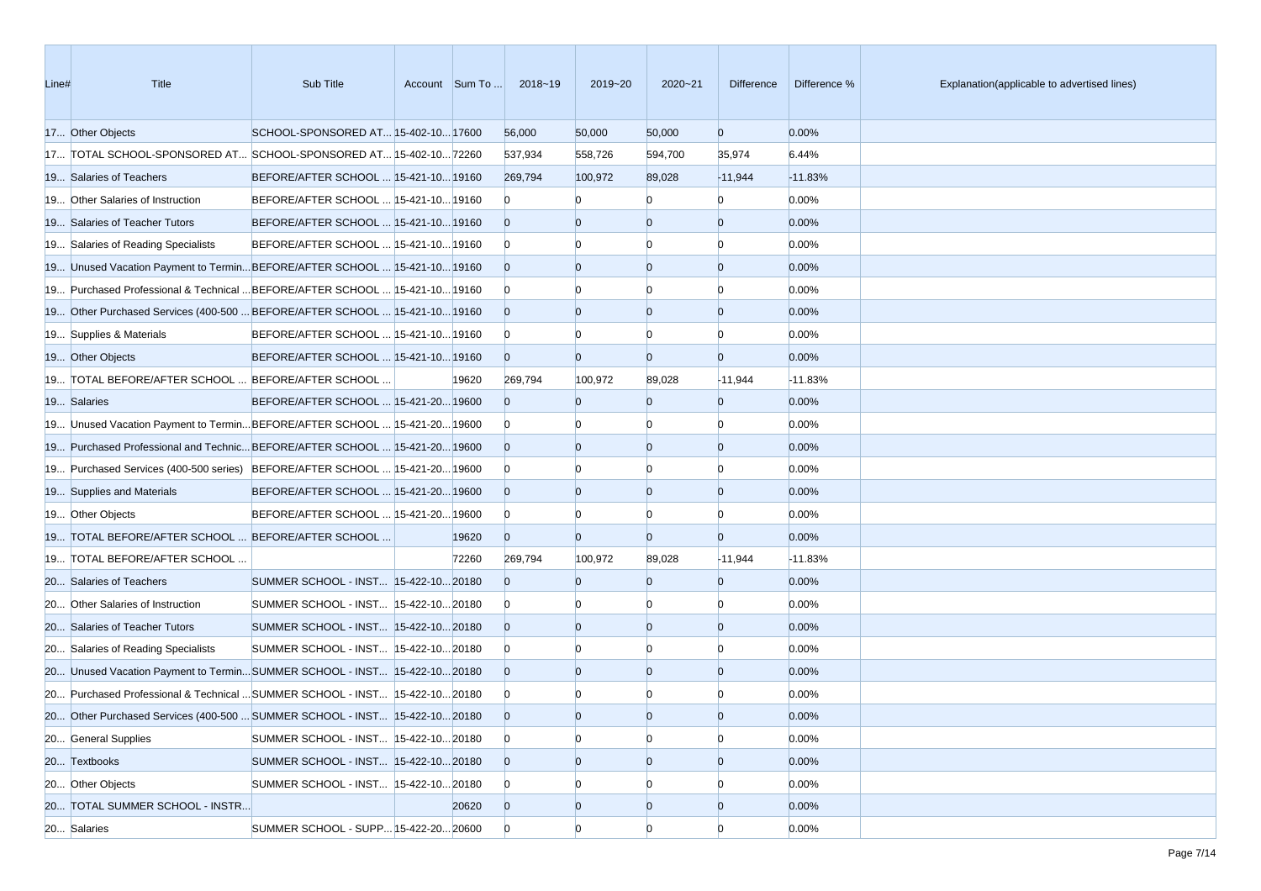| Line# | <b>Title</b>                                                                     | Sub Title                             | Account Sum To | 2018~19        | 2019~20        | $2020 - 21$    | <b>Difference</b> | Difference % | Explanation(applicable to advertised lines) |
|-------|----------------------------------------------------------------------------------|---------------------------------------|----------------|----------------|----------------|----------------|-------------------|--------------|---------------------------------------------|
|       | 17 Other Objects                                                                 | SCHOOL-SPONSORED AT 15-402-10 17600   |                | 56,000         | 50,000         | 50,000         | $\overline{0}$    | 0.00%        |                                             |
|       | 17 TOTAL SCHOOL-SPONSORED AT SCHOOL-SPONSORED AT 15-402-10 72260                 |                                       |                | 537,934        | 558,726        | 594,700        | 35,974            | 6.44%        |                                             |
|       | 19 Salaries of Teachers                                                          | BEFORE/AFTER SCHOOL  15-421-10 19160  |                | 269,794        | 100,972        | 89,028         | $-11,944$         | $-11.83%$    |                                             |
|       | 19 Other Salaries of Instruction                                                 | BEFORE/AFTER SCHOOL  15-421-10 19160  |                | $\mathbf{0}$   |                | n              | $\Omega$          | 0.00%        |                                             |
|       | 19 Salaries of Teacher Tutors                                                    | BEFORE/AFTER SCHOOL  15-421-10 19160  |                | $\overline{0}$ | $\Omega$       | $\Omega$       | $\overline{0}$    | 0.00%        |                                             |
|       | 19 Salaries of Reading Specialists                                               | BEFORE/AFTER SCHOOL  15-421-10 19160  |                | $\overline{0}$ |                | $\Omega$       | $\Omega$          | 0.00%        |                                             |
|       | 19 Unused Vacation Payment to TerminBEFORE/AFTER SCHOOL  15-421-10 19160         |                                       |                | $\overline{0}$ | $\Omega$       | $\overline{0}$ | $\overline{0}$    | 0.00%        |                                             |
|       | 19 Purchased Professional & Technical  BEFORE/AFTER SCHOOL  15-421-10 19160      |                                       |                | $\overline{0}$ |                | n              | $\Omega$          | 0.00%        |                                             |
|       | 19 Other Purchased Services (400-500  BEFORE/AFTER SCHOOL  15-421-10 19160       |                                       |                | $\overline{0}$ | $\Omega$       | $\overline{0}$ | $\overline{0}$    | 0.00%        |                                             |
|       | 19 Supplies & Materials                                                          | BEFORE/AFTER SCHOOL  15-421-10 19160  |                | $\overline{0}$ |                | n              | $\Omega$          | 0.00%        |                                             |
|       | 19 Other Objects                                                                 | BEFORE/AFTER SCHOOL  15-421-10 19160  |                | $\overline{0}$ | $\Omega$       | $\overline{0}$ | $\overline{0}$    | 0.00%        |                                             |
|       | 19 TOTAL BEFORE/AFTER SCHOOL  BEFORE/AFTER SCHOOL                                |                                       | 19620          | 269,794        | 100,972        | 89,028         | $-11,944$         | $-11.83%$    |                                             |
|       | 19 Salaries                                                                      | BEFORE/AFTER SCHOOL  15-421-20 19600  |                | $\Omega$       | $\Omega$       | $\overline{0}$ | $\overline{0}$    | 0.00%        |                                             |
|       | 19 Unused Vacation Payment to Termin BEFORE/AFTER SCHOOL  15-421-20 19600        |                                       |                | $\overline{0}$ |                | $\Omega$       | $\Omega$          | 0.00%        |                                             |
|       | 19600 19 Purchased Professional and Technic BEFORE/AFTER SCHOOL  15-421-20 19600 |                                       |                | $\overline{0}$ | $\Omega$       | $\Omega$       | $\overline{0}$    | 0.00%        |                                             |
|       | 19 Purchased Services (400-500 series) BEFORE/AFTER SCHOOL  15-421-20 19600      |                                       |                | $\overline{0}$ |                |                | n                 | 0.00%        |                                             |
|       | 19 Supplies and Materials                                                        | BEFORE/AFTER SCHOOL  15-421-20 19600  |                | $\overline{0}$ | $\Omega$       | $\overline{0}$ | $\overline{0}$    | 0.00%        |                                             |
|       | 19 Other Objects                                                                 | BEFORE/AFTER SCHOOL  15-421-20 19600  |                | $\overline{0}$ |                | $\Omega$       | $\Omega$          | 0.00%        |                                             |
|       | 19 TOTAL BEFORE/AFTER SCHOOL  BEFORE/AFTER SCHOOL                                |                                       | 19620          | $\overline{0}$ | $\Omega$       | $\overline{0}$ | $\overline{0}$    | 0.00%        |                                             |
|       | 19 TOTAL BEFORE/AFTER SCHOOL                                                     |                                       | 72260          | 269,794        | 100,972        | 89,028         | $-11,944$         | $-11.83%$    |                                             |
|       | 20 Salaries of Teachers                                                          | SUMMER SCHOOL - INST 15-422-10 20180  |                | $\Omega$       | $\Omega$       | $\Omega$       | $\overline{0}$    | 0.00%        |                                             |
|       | 20 Other Salaries of Instruction                                                 | SUMMER SCHOOL - INST 15-422-10 20180  |                | $\overline{0}$ |                | n              | $\Omega$          | 0.00%        |                                             |
|       | 20 Salaries of Teacher Tutors                                                    | SUMMER SCHOOL - INST 15-422-10 20180  |                | $\overline{0}$ | $\Omega$       | $\Omega$       | $\overline{0}$    | 0.00%        |                                             |
|       | 20 Salaries of Reading Specialists                                               | SUMMER SCHOOL - INST  15-422-10 20180 |                | $\overline{0}$ |                | n              | $\Omega$          | 0.00%        |                                             |
|       | 20 Unused Vacation Payment to TerminSUMMER SCHOOL - INST 15-422-1020180          |                                       |                | $\overline{0}$ | $\Omega$       | $\overline{0}$ | $\overline{0}$    | 0.00%        |                                             |
|       | 20 Purchased Professional & Technical  SUMMER SCHOOL - INST 15-422-10 20180      |                                       |                | $\overline{0}$ |                |                |                   | 0.00%        |                                             |
|       | 20 Other Purchased Services (400-500  SUMMER SCHOOL - INST 15-422-10 20180       |                                       |                | $\overline{0}$ | $\Omega$       | $\Omega$       | $\Omega$          | 0.00%        |                                             |
|       | 20 General Supplies                                                              | SUMMER SCHOOL - INST 15-422-10 20180  |                | $\overline{0}$ | $\Omega$       | $\overline{0}$ | $\overline{0}$    | 0.00%        |                                             |
|       | 20 Textbooks                                                                     | SUMMER SCHOOL - INST 15-422-10 20180  |                | $\overline{0}$ | $\overline{0}$ | $\overline{0}$ | $\overline{0}$    | 0.00%        |                                             |
|       | 20 Other Objects                                                                 | SUMMER SCHOOL - INST 15-422-10 20180  |                | $\overline{0}$ | $\Omega$       | $\Omega$       |                   | 0.00%        |                                             |
|       | 20 TOTAL SUMMER SCHOOL - INSTR                                                   |                                       | 20620          | $\overline{0}$ | $\overline{0}$ | $\overline{0}$ | $\overline{0}$    | 0.00%        |                                             |
|       | 20 Salaries                                                                      | SUMMER SCHOOL - SUPP 15-422-20 20600  |                | $\overline{0}$ | $\overline{0}$ | $\Omega$       | $\Omega$          | 0.00%        |                                             |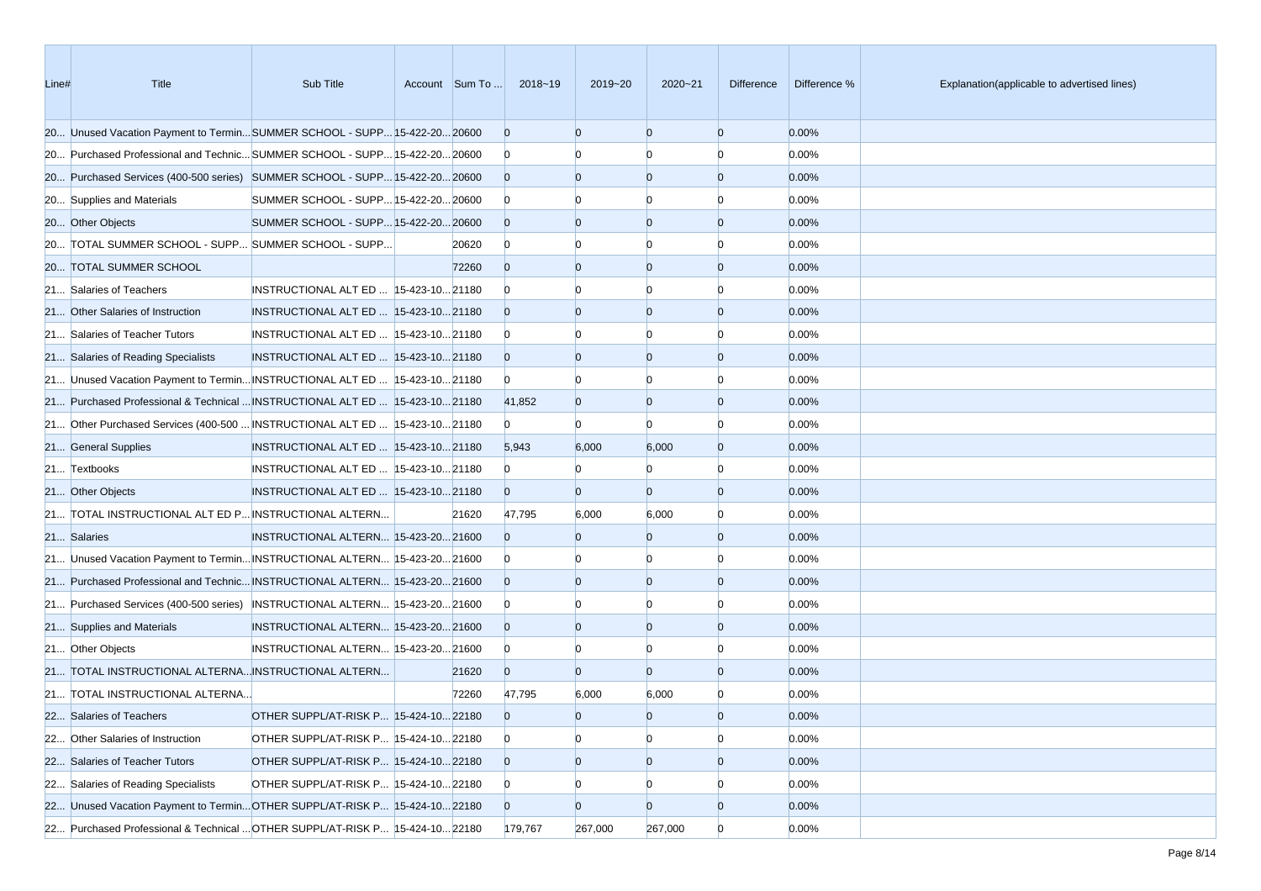| Line# | Title                                                                         | Sub Title                              | Account Sum To | 2018~19        | 2019~20        | $2020 - 21$    | <b>Difference</b> | Difference % | Explanation(applicable to advertised lines) |
|-------|-------------------------------------------------------------------------------|----------------------------------------|----------------|----------------|----------------|----------------|-------------------|--------------|---------------------------------------------|
|       | 20 Unused Vacation Payment to Termin SUMMER SCHOOL - SUPP 15-422-20 20600     |                                        |                | $\overline{0}$ | $\overline{0}$ | $\overline{0}$ | $\overline{0}$    | 0.00%        |                                             |
|       | 20 Purchased Professional and Technic SUMMER SCHOOL - SUPP 15-422-20 20600    |                                        |                | $\overline{0}$ | n              | n              | $\Omega$          | 0.00%        |                                             |
|       | 20 Purchased Services (400-500 series) SUMMER SCHOOL - SUPP 15-422-20 20600   |                                        |                | $\Omega$       | $\overline{0}$ | $\overline{0}$ | $\overline{0}$    | 0.00%        |                                             |
|       | 20 Supplies and Materials                                                     | SUMMER SCHOOL - SUPP 15-422-20 20600   |                | $\overline{0}$ |                |                | 0                 | 0.00%        |                                             |
|       | 20 Other Objects                                                              | SUMMER SCHOOL - SUPP 15-422-20 20600   |                | $\Omega$       | $\Omega$       | $\overline{0}$ | $\overline{0}$    | 0.00%        |                                             |
|       | 20 TOTAL SUMMER SCHOOL - SUPP SUMMER SCHOOL - SUPP                            |                                        | 20620          | $\overline{0}$ | $\Omega$       | $\Omega$       | $\Omega$          | 0.00%        |                                             |
|       | 20 TOTAL SUMMER SCHOOL                                                        |                                        | 72260          | $\overline{0}$ | $\overline{0}$ | $\overline{0}$ | $\overline{0}$    | 0.00%        |                                             |
|       | 21 Salaries of Teachers                                                       | INSTRUCTIONAL ALT ED   15-423-10 21180 |                | $\Omega$       |                | n              | 0                 | 0.00%        |                                             |
|       | 21 Other Salaries of Instruction                                              | INSTRUCTIONAL ALT ED  15-423-10 21180  |                | $\Omega$       | $\Omega$       | $\overline{0}$ | $\overline{0}$    | 0.00%        |                                             |
|       | 21 Salaries of Teacher Tutors                                                 | INSTRUCTIONAL ALT ED   15-423-10 21180 |                | $\overline{0}$ |                | n              | $\Omega$          | 0.00%        |                                             |
|       | 21 Salaries of Reading Specialists                                            | INSTRUCTIONAL ALT ED  15-423-10 21180  |                | $\Omega$       | $\overline{0}$ | $\overline{0}$ | $\overline{0}$    | 0.00%        |                                             |
|       | 21 Unused Vacation Payment to Termin INSTRUCTIONAL ALT ED  15-423-10 21180    |                                        |                | $\overline{0}$ | $\Omega$       |                | 0                 | 0.00%        |                                             |
|       | 21 Purchased Professional & Technical  INSTRUCTIONAL ALT ED   15-423-10 21180 |                                        |                | 41,852         | $\overline{0}$ | $\overline{0}$ | $\mathbf{0}$      | 0.00%        |                                             |
|       | 21 Other Purchased Services (400-500  INSTRUCTIONAL ALT ED   15-423-10 21180  |                                        |                | $\overline{0}$ | $\Omega$       | $\Omega$       | $\Omega$          | 0.00%        |                                             |
|       | 21 General Supplies                                                           | INSTRUCTIONAL ALT ED  15-423-10 21180  |                | 5,943          | 6,000          | 6,000          | $\overline{0}$    | 0.00%        |                                             |
|       | 21 Textbooks                                                                  | INSTRUCTIONAL ALT ED  15-423-10 21180  |                | $\Omega$       | $\Omega$       |                | 0                 | 0.00%        |                                             |
|       | 21 Other Objects                                                              | INSTRUCTIONAL ALT ED  15-423-10 21180  |                | $\Omega$       | $\overline{0}$ | $\overline{0}$ | $\overline{0}$    | 0.00%        |                                             |
|       | 21 TOTAL INSTRUCTIONAL ALT ED P INSTRUCTIONAL ALTERN                          |                                        | 21620          | 47,795         | 6,000          | 6,000          | $\Omega$          | 0.00%        |                                             |
|       | 21 Salaries                                                                   | INSTRUCTIONAL ALTERN 15-423-20 21600   |                | $\Omega$       | $\overline{0}$ | $\overline{0}$ | $\overline{0}$    | 0.00%        |                                             |
|       | 21 Unused Vacation Payment to Termin INSTRUCTIONAL ALTERN 15-423-20 21600     |                                        |                | $\overline{0}$ | $\Omega$       | n              | 0                 | 0.00%        |                                             |
|       | 21 Purchased Professional and Technic INSTRUCTIONAL ALTERN 15-423-20 21600    |                                        |                | $\Omega$       | $\Omega$       | $\overline{0}$ | $\mathbf{0}$      | 0.00%        |                                             |
|       | 21 Purchased Services (400-500 series) INSTRUCTIONAL ALTERN 15-423-20 21600   |                                        |                | $\overline{0}$ |                | n              | $\Omega$          | 0.00%        |                                             |
|       | 21 Supplies and Materials                                                     | INSTRUCTIONAL ALTERN 15-423-20 21600   |                | $\Omega$       | $\overline{0}$ | $\overline{0}$ | $\overline{0}$    | 0.00%        |                                             |
|       | 21 Other Objects                                                              | INSTRUCTIONAL ALTERN 15-423-20 21600   |                | $\overline{0}$ | $\Omega$       | n              | 0                 | 0.00%        |                                             |
|       | 21 TOTAL INSTRUCTIONAL ALTERNA INSTRUCTIONAL ALTERN                           |                                        | 21620          | $\Omega$       | $\overline{0}$ | $\overline{0}$ | $\mathbf{0}$      | 0.00%        |                                             |
|       | 21 TOTAL INSTRUCTIONAL ALTERNA                                                |                                        | 72260          | 47,795         | 6,000          | 6,000          | 0                 | 0.00%        |                                             |
|       | 22 Salaries of Teachers                                                       | OTHER SUPPL/AT-RISK P 15-424-10 22180  |                | $\Omega$       | $\overline{0}$ | $\overline{0}$ | $\Omega$          | 0.00%        |                                             |
|       | 22 Other Salaries of Instruction                                              | OTHER SUPPL/AT-RISK P 15-424-10 22180  |                | $\overline{0}$ | $\overline{0}$ | $\overline{0}$ | $\overline{0}$    | 0.00%        |                                             |
|       | 22 Salaries of Teacher Tutors                                                 | OTHER SUPPL/AT-RISK P 15-424-10 22180  |                | $\overline{0}$ | $\overline{0}$ | $\overline{0}$ | $\overline{0}$    | 0.00%        |                                             |
|       | 22 Salaries of Reading Specialists                                            | OTHER SUPPL/AT-RISK P 15-424-10 22180  |                | $\overline{0}$ | $\overline{0}$ | $\Omega$       |                   | 0.00%        |                                             |
|       | 22 Unused Vacation Payment to TerminOTHER SUPPL/AT-RISK P 15-424-1022180      |                                        |                | $\overline{0}$ | $\overline{0}$ | $\overline{0}$ | $\overline{0}$    | 0.00%        |                                             |
|       | 22 Purchased Professional & Technical  OTHER SUPPL/AT-RISK P 15-424-10 22180  |                                        |                | 179,767        | 267,000        | 267,000        | $\overline{0}$    | 0.00%        |                                             |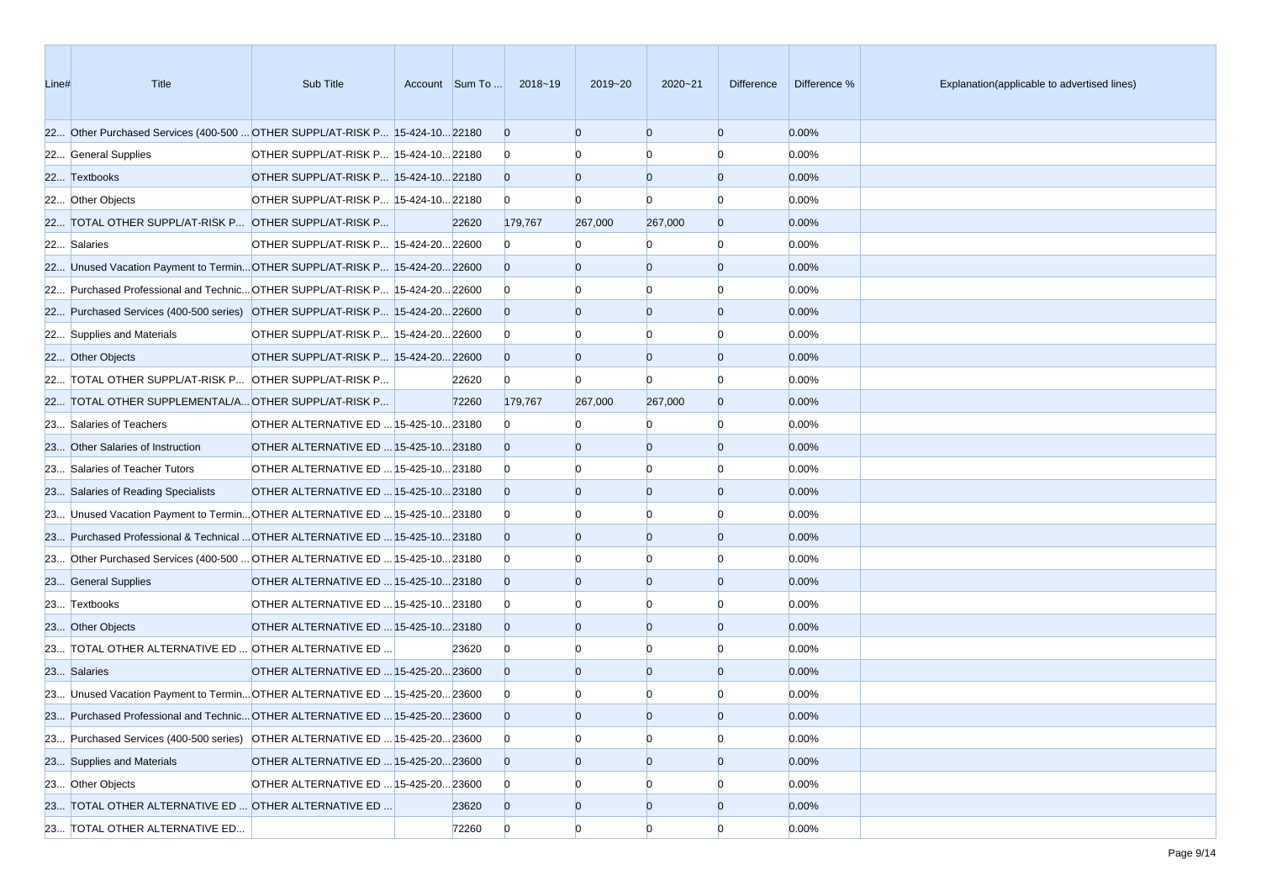| Line# | <b>Title</b>                                                                  | Sub Title                             |       | Account Sum To  2018~19 | 2019~20        | $2020 - 21$    | <b>Difference</b> | Difference % | Explanation(applicable to advertised lines) |
|-------|-------------------------------------------------------------------------------|---------------------------------------|-------|-------------------------|----------------|----------------|-------------------|--------------|---------------------------------------------|
|       | 22 Other Purchased Services (400-500  OTHER SUPPL/AT-RISK P 15-424-10 22180   |                                       |       | $\overline{0}$          | $\Omega$       | $\Omega$       | $\overline{0}$    | 0.00%        |                                             |
|       | 22 General Supplies                                                           | OTHER SUPPL/AT-RISK P 15-424-10 22180 |       | $\overline{0}$          |                | n              | $\Omega$          | 0.00%        |                                             |
|       | 22 Textbooks                                                                  | OTHER SUPPL/AT-RISK P 15-424-10 22180 |       | $\overline{0}$          | $\Omega$       | $\overline{0}$ | $\overline{0}$    | 0.00%        |                                             |
|       | 22 Other Objects                                                              | OTHER SUPPL/AT-RISK P 15-424-10 22180 |       | $\overline{0}$          | $\Omega$       | n              | n                 | 0.00%        |                                             |
|       | 22 TOTAL OTHER SUPPL/AT-RISK P OTHER SUPPL/AT-RISK P                          |                                       | 22620 | 179,767                 | 267,000        | 267,000        | $\overline{0}$    | 0.00%        |                                             |
|       | 22 Salaries                                                                   | OTHER SUPPL/AT-RISK P 15-424-20 22600 |       | $\overline{0}$          |                | n              | $\Omega$          | 0.00%        |                                             |
|       | 22 Unused Vacation Payment to Termin OTHER SUPPL/AT-RISK P 15-424-20 22600    |                                       |       | $\overline{0}$          | $\Omega$       | $\Omega$       | $\overline{0}$    | 0.00%        |                                             |
|       | 22 Purchased Professional and Technic OTHER SUPPL/AT-RISK P 15-424-20 22600   |                                       |       | $\overline{0}$          |                |                | $\Omega$          | 0.00%        |                                             |
|       | 22 Purchased Services (400-500 series) OTHER SUPPL/AT-RISK P 15-424-20 22600  |                                       |       | $\overline{0}$          | $\Omega$       | $\Omega$       | $\overline{0}$    | 0.00%        |                                             |
|       | 22 Supplies and Materials                                                     | OTHER SUPPL/AT-RISK P 15-424-20 22600 |       | $\overline{0}$          |                |                | n                 | 0.00%        |                                             |
|       | 22 Other Objects                                                              | OTHER SUPPL/AT-RISK P 15-424-20 22600 |       | $\overline{0}$          | $\Omega$       | $\overline{0}$ | $\overline{0}$    | 0.00%        |                                             |
|       | 22 TOTAL OTHER SUPPL/AT-RISK P OTHER SUPPL/AT-RISK P                          |                                       | 22620 | $\overline{0}$          | $\Omega$       | n              | $\Omega$          | 0.00%        |                                             |
|       | 22 TOTAL OTHER SUPPLEMENTAL/A OTHER SUPPL/AT-RISK P                           |                                       | 72260 | 179,767                 | 267,000        | 267,000        | $\overline{0}$    | 0.00%        |                                             |
|       | 23 Salaries of Teachers                                                       | OTHER ALTERNATIVE ED  15-425-10 23180 |       | $\overline{0}$          |                | n              | $\Omega$          | 0.00%        |                                             |
|       | 23 Other Salaries of Instruction                                              | OTHER ALTERNATIVE ED  15-425-10 23180 |       | $\overline{0}$          | $\Omega$       | $\Omega$       | $\overline{0}$    | 0.00%        |                                             |
|       | 23 Salaries of Teacher Tutors                                                 | OTHER ALTERNATIVE ED  15-425-10 23180 |       | $\overline{0}$          |                |                |                   | 0.00%        |                                             |
|       | 23 Salaries of Reading Specialists                                            | OTHER ALTERNATIVE ED  15-425-10 23180 |       | $\overline{0}$          | $\Omega$       | $\Omega$       | $\overline{0}$    | 0.00%        |                                             |
|       | 23 Unused Vacation Payment to Termin OTHER ALTERNATIVE ED  15-425-10 23180    |                                       |       | $\overline{0}$          |                |                | $\Omega$          | 0.00%        |                                             |
|       | 23 Purchased Professional & Technical  OTHER ALTERNATIVE ED   15-425-10 23180 |                                       |       | $\overline{0}$          | $\Omega$       | $\Omega$       | $\overline{0}$    | 0.00%        |                                             |
|       | 23 Other Purchased Services (400-500  OTHER ALTERNATIVE ED  15-425-10 23180   |                                       |       | $\overline{0}$          |                |                | $\Omega$          | 0.00%        |                                             |
|       | 23 General Supplies                                                           | OTHER ALTERNATIVE ED  15-425-10 23180 |       | $\overline{0}$          | $\Omega$       | $\Omega$       | $\overline{0}$    | 0.00%        |                                             |
|       | 23 Textbooks                                                                  | OTHER ALTERNATIVE ED  15-425-10 23180 |       | $\overline{0}$          |                |                | n                 | 0.00%        |                                             |
|       | 23 Other Objects                                                              | OTHER ALTERNATIVE ED  15-425-10 23180 |       | $\overline{0}$          | $\Omega$       | $\Omega$       | $\overline{0}$    | 0.00%        |                                             |
|       | 23 TOTAL OTHER ALTERNATIVE ED  OTHER ALTERNATIVE ED                           |                                       | 23620 | $\overline{0}$          |                | n              | n                 | 0.00%        |                                             |
|       | 23 Salaries                                                                   | OTHER ALTERNATIVE ED  15-425-20 23600 |       | $\overline{0}$          | $\Omega$       | $\overline{0}$ | $\overline{0}$    | 0.00%        |                                             |
|       | 23 Unused Vacation Payment to Termin OTHER ALTERNATIVE ED  15-425-20 23600    |                                       |       | $\overline{0}$          |                |                |                   | 0.00%        |                                             |
|       | 23 Purchased Professional and Technic OTHER ALTERNATIVE ED  15-425-20 23600   |                                       |       | $\overline{0}$          | $\Omega$       | $\Omega$       | $\Omega$          | 0.00%        |                                             |
|       | 23 Purchased Services (400-500 series) OTHER ALTERNATIVE ED  15-425-20 23600  |                                       |       | $\overline{0}$          | $\Omega$       | $\overline{0}$ | $\Omega$          | 0.00%        |                                             |
|       | 23 Supplies and Materials                                                     | OTHER ALTERNATIVE ED  15-425-20 23600 |       | $\overline{0}$          | $\overline{0}$ | $\overline{0}$ | $\overline{0}$    | 0.00%        |                                             |
|       | 23 Other Objects                                                              | OTHER ALTERNATIVE ED  15-425-20 23600 |       | $\overline{0}$          |                | $\Omega$       |                   | 0.00%        |                                             |
|       | 23 TOTAL OTHER ALTERNATIVE ED  OTHER ALTERNATIVE ED                           |                                       | 23620 | $\overline{0}$          | $\overline{0}$ | $\overline{0}$ | $\overline{0}$    | 0.00%        |                                             |
|       | 23 TOTAL OTHER ALTERNATIVE ED                                                 |                                       | 72260 | $\mathbf{0}$            | $\overline{0}$ | $\Omega$       | $\Omega$          | 0.00%        |                                             |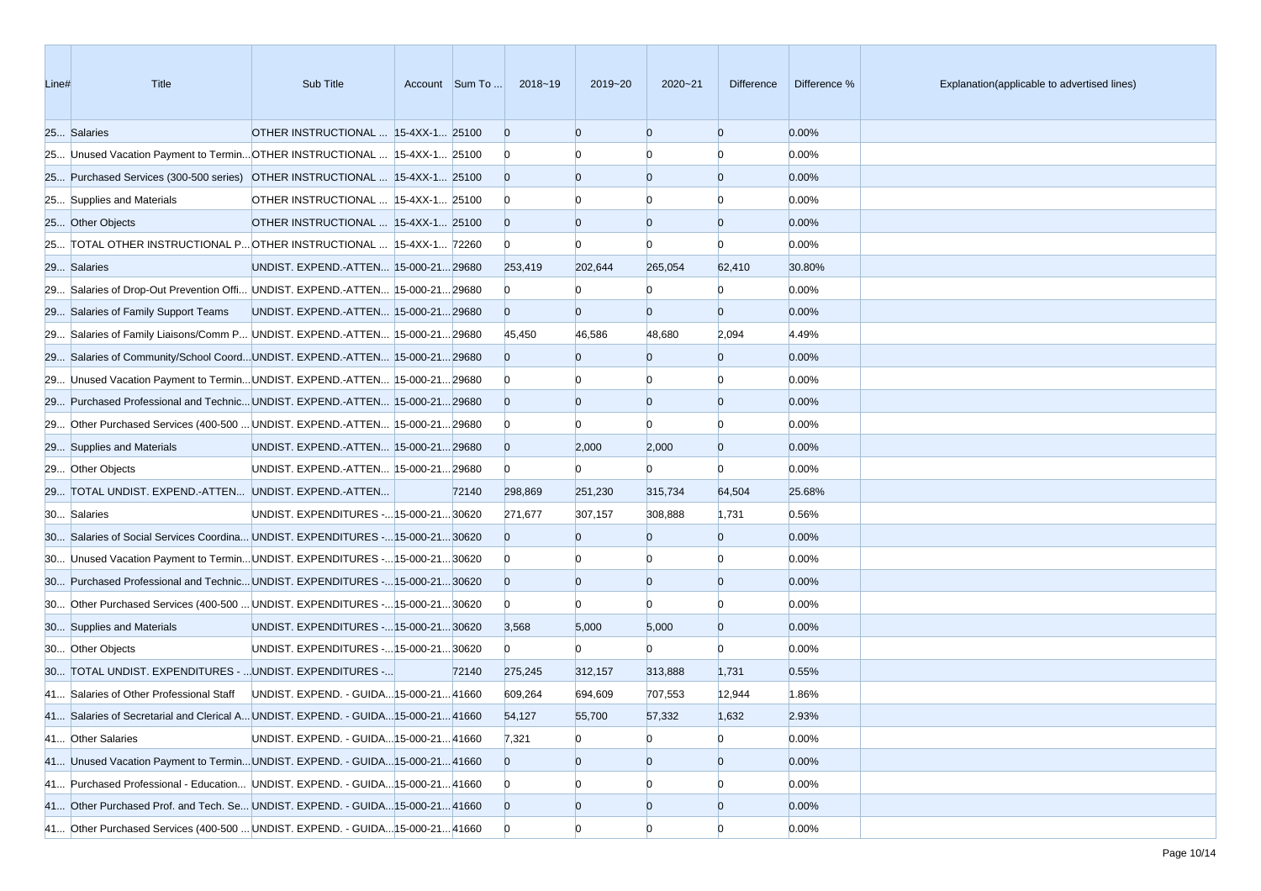| Line# | Title                                                                             | Sub Title                               | Account Sum To | 2018~19        | 2019~20        | 2020~21        | Difference     | Difference % | Explanation(applicable to advertised lines) |
|-------|-----------------------------------------------------------------------------------|-----------------------------------------|----------------|----------------|----------------|----------------|----------------|--------------|---------------------------------------------|
|       | 25 Salaries                                                                       | OTHER INSTRUCTIONAL  15-4XX-1 25100     |                | $\overline{0}$ | $\Omega$       | $\overline{0}$ | $\overline{0}$ | 0.00%        |                                             |
|       | 25 Unused Vacation Payment to Termin OTHER INSTRUCTIONAL  15-4XX-1 25100          |                                         |                | $\mathbf{0}$   |                | n              | n              | 0.00%        |                                             |
|       | 25 Purchased Services (300-500 series) OTHER INSTRUCTIONAL  15-4XX-1 25100        |                                         |                | $\overline{0}$ | $\Omega$       | $\overline{0}$ | $\overline{0}$ | 0.00%        |                                             |
|       | 25 Supplies and Materials                                                         | OTHER INSTRUCTIONAL  15-4XX-1 25100     |                | $\bf{0}$       |                | n              | n              | 0.00%        |                                             |
|       | 25 Other Objects                                                                  | OTHER INSTRUCTIONAL  15-4XX-1 25100     |                | $\overline{0}$ | $\Omega$       | $\overline{0}$ | $\overline{0}$ | 0.00%        |                                             |
|       | 25 TOTAL OTHER INSTRUCTIONAL P OTHER INSTRUCTIONAL  15-4XX-1 72260                |                                         |                | $\bf{0}$       |                | $\Omega$       | $\Omega$       | 0.00%        |                                             |
|       | 29 Salaries                                                                       | UNDIST. EXPEND.-ATTEN 15-000-2129680    |                | 253,419        | 202,644        | 265,054        | 62,410         | 30.80%       |                                             |
|       | 29 Salaries of Drop-Out Prevention Offi UNDIST. EXPEND.-ATTEN 15-000-21 29680     |                                         |                | $\mathbf{0}$   |                |                |                | 0.00%        |                                             |
|       | 29 Salaries of Family Support Teams                                               | UNDIST. EXPEND.-ATTEN 15-000-21 29680   |                | $\Omega$       | $\Omega$       | $\overline{0}$ | $\overline{0}$ | 0.00%        |                                             |
|       | 29 Salaries of Family Liaisons/Comm P UNDIST. EXPEND.-ATTEN 15-000-21 29680       |                                         |                | 45,450         | 46,586         | 48,680         | 2,094          | 4.49%        |                                             |
|       | 29 Salaries of Community/School CoordUNDIST. EXPEND.-ATTEN 15-000-2129680         |                                         |                | $\overline{0}$ | $\Omega$       | $\overline{0}$ | $\overline{0}$ | 0.00%        |                                             |
|       | 29 Unused Vacation Payment to Termin UNDIST. EXPEND.-ATTEN 15-000-21 29680        |                                         |                | $\bf{0}$       |                |                | n              | 0.00%        |                                             |
|       | 29 Purchased Professional and Technic UNDIST. EXPEND.-ATTEN 15-000-21 29680       |                                         |                | $\Omega$       | $\Omega$       | $\overline{0}$ | $\overline{0}$ | 0.00%        |                                             |
|       | 29 Other Purchased Services (400-500  UNDIST. EXPEND.-ATTEN  15-000-21 29680      |                                         |                | $\bf{0}$       |                | $\Omega$       | n              | 0.00%        |                                             |
|       | 29 Supplies and Materials                                                         | UNDIST. EXPEND.-ATTEN 15-000-21 29680   |                | $\overline{0}$ | 2,000          | 2,000          | $\overline{0}$ | 0.00%        |                                             |
|       | 29 Other Objects                                                                  | UNDIST. EXPEND.-ATTEN  15-000-21 29680  |                | $\bf{0}$       | $\mathbf{0}$   | $\Omega$       | $\Omega$       | 0.00%        |                                             |
|       | 29 TOTAL UNDIST. EXPEND.-ATTEN UNDIST. EXPEND.-ATTEN                              |                                         | 72140          | 298,869        | 251,230        | 315,734        | 64,504         | 25.68%       |                                             |
|       | 30 Salaries                                                                       | UNDIST. EXPENDITURES - 15-000-21 30620  |                | 271,677        | 307,157        | 308,888        | 1,731          | 0.56%        |                                             |
|       | 30 Salaries of Social Services Coordina UNDIST. EXPENDITURES - 15-000-21 30620    |                                         |                | $\overline{0}$ | $\Omega$       | $\overline{0}$ | $\overline{0}$ | 0.00%        |                                             |
|       | 30 Unused Vacation Payment to TerminUNDIST. EXPENDITURES - 15-000-21 30620        |                                         |                | $\bf{0}$       |                |                | n              | 0.00%        |                                             |
|       | 30 Purchased Professional and Technic UNDIST. EXPENDITURES - 15-000-21 30620      |                                         |                | $\overline{0}$ | $\Omega$       | $\overline{0}$ | $\overline{0}$ | 0.00%        |                                             |
|       | 30 Other Purchased Services (400-500  UNDIST. EXPENDITURES - 15-000-21 30620      |                                         |                | $\bf{0}$       | $\Omega$       | $\Omega$       | $\Omega$       | 0.00%        |                                             |
|       | 30 Supplies and Materials                                                         | UNDIST. EXPENDITURES - 15-000-21 30620  |                | 3,568          | 5,000          | 5,000          | $\overline{0}$ | 0.00%        |                                             |
|       | 30 Other Objects                                                                  | UNDIST. EXPENDITURES - 15-000-21 30620  |                | $\overline{0}$ | $\overline{0}$ | $\Omega$       | $\Omega$       | 0.00%        |                                             |
|       | 30 TOTAL UNDIST. EXPENDITURES -  UNDIST. EXPENDITURES -                           |                                         | 72140          | 275,245        | 312,157        | 313,888        | 1,731          | 0.55%        |                                             |
|       | 41 Salaries of Other Professional Staff                                           | UNDIST. EXPEND. - GUIDA 15-000-21 41660 |                | 609,264        | 694,609        | 707,553        | 12,944         | 1.86%        |                                             |
|       | 41 Salaries of Secretarial and Clerical A UNDIST. EXPEND. - GUIDA 15-000-21 41660 |                                         |                | 54,127         | 55,700         | 57,332         | 1,632          | 2.93%        |                                             |
|       | 41 Other Salaries                                                                 | UNDIST. EXPEND. - GUIDA 15-000-21 41660 |                | 7,321          | $\overline{0}$ | $\overline{0}$ | $\overline{0}$ | 0.00%        |                                             |
|       | 41 Unused Vacation Payment to Termin UNDIST. EXPEND. - GUIDA 15-000-21 41660      |                                         |                | $\overline{0}$ | $\overline{0}$ | $\overline{0}$ | $\overline{0}$ | 0.00%        |                                             |
|       | 41 Purchased Professional - Education UNDIST. EXPEND. - GUIDA 15-000-21 41660     |                                         |                | $\overline{0}$ |                |                |                | 0.00%        |                                             |
|       | 41 Other Purchased Prof. and Tech. Se UNDIST. EXPEND. - GUIDA 15-000-21 41660     |                                         |                | $\overline{0}$ | $\overline{0}$ | $\overline{0}$ | $\overline{0}$ | 0.00%        |                                             |
|       | 41 Other Purchased Services (400-500  UNDIST. EXPEND. - GUIDA 15-000-21 41660     |                                         |                | $\overline{0}$ | $\Omega$       | $\Omega$       | n              | 0.00%        |                                             |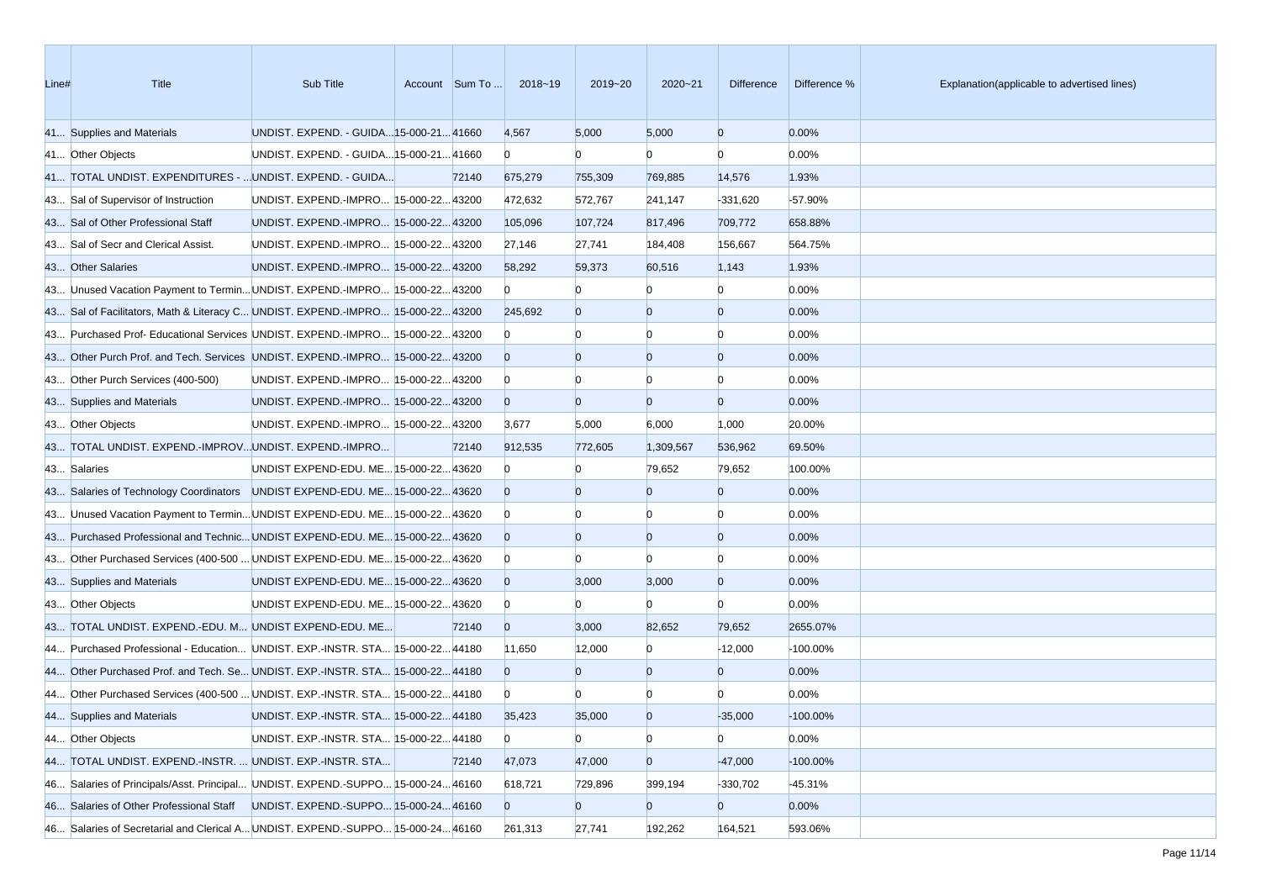| Line# | <b>Title</b>                                                                    | Sub Title                               | Account Sum To | 2018~19        | 2019~20        | $2020 - 21$    | Difference     | Difference % | Explanation(applicable to advertised lines) |
|-------|---------------------------------------------------------------------------------|-----------------------------------------|----------------|----------------|----------------|----------------|----------------|--------------|---------------------------------------------|
|       | 41 Supplies and Materials                                                       | UNDIST. EXPEND. - GUIDA 15-000-21 41660 |                | 4,567          | 5,000          | 5,000          | $\overline{0}$ | 0.00%        |                                             |
|       | 41 Other Objects                                                                | UNDIST. EXPEND. - GUIDA 15-000-21 41660 |                | $\Omega$       | $\Omega$       | n              | n              | 0.00%        |                                             |
|       | 41 TOTAL UNDIST. EXPENDITURES -  UNDIST. EXPEND. - GUIDA                        |                                         | 72140          | 675,279        | 755,309        | 769,885        | 14,576         | 1.93%        |                                             |
|       | 43 Sal of Supervisor of Instruction                                             | UNDIST. EXPEND.-IMPRO 15-000-22 43200   |                | 472,632        | 572,767        | 241,147        | $-331,620$     | -57.90%      |                                             |
|       | 43 Sal of Other Professional Staff                                              | UNDIST. EXPEND.-IMPRO 15-000-22 43200   |                | 105,096        | 107,724        | 817,496        | 709,772        | 658.88%      |                                             |
|       | 43 Sal of Secr and Clerical Assist.                                             | UNDIST. EXPEND.-IMPRO 15-000-22 43200   |                | 27,146         | 27,741         | 184,408        | 156,667        | 564.75%      |                                             |
|       | 43 Other Salaries                                                               | UNDIST. EXPEND.-IMPRO 15-000-22 43200   |                | 58,292         | 59,373         | 60,516         | 1,143          | 1.93%        |                                             |
|       | 43 Unused Vacation Payment to Termin UNDIST. EXPEND.-IMPRO 15-000-22 43200      |                                         |                | $\overline{0}$ | n              | n              | $\Omega$       | 0.00%        |                                             |
|       | 43 Sal of Facilitators, Math & Literacy C UNDIST. EXPEND.-IMPRO 15-000-22 43200 |                                         |                | 245,692        | $\overline{0}$ | $\overline{0}$ | $\overline{0}$ | 0.00%        |                                             |
|       | 43 Purchased Prof- Educational Services UNDIST. EXPEND.-IMPRO 15-000-22 43200   |                                         |                | $\bf{0}$       |                | $\Omega$       | $\Omega$       | 0.00%        |                                             |
|       | 43 Other Purch Prof. and Tech. Services UNDIST. EXPEND.-IMPRO 15-000-22 43200   |                                         |                | $\overline{0}$ | $\overline{0}$ | $\overline{0}$ | $\overline{0}$ | 0.00%        |                                             |
|       | 43 Other Purch Services (400-500)                                               | UNDIST. EXPEND.-IMPRO 15-000-22 43200   |                | $\bf{0}$       |                | $\Omega$       | n              | 0.00%        |                                             |
|       | 43 Supplies and Materials                                                       | UNDIST. EXPEND.-IMPRO 15-000-22 43200   |                | $\overline{0}$ | $\Omega$       | $\overline{0}$ | $\overline{0}$ | 0.00%        |                                             |
|       | 43 Other Objects                                                                | UNDIST. EXPEND.-IMPRO 15-000-22 43200   |                | 3,677          | 5,000          | 6,000          | 1,000          | 20.00%       |                                             |
|       | 43 TOTAL UNDIST. EXPEND.-IMPROVUNDIST. EXPEND.-IMPRO                            |                                         | 72140          | 912,535        | 772,605        | 1,309,567      | 536,962        | 69.50%       |                                             |
|       | 43 Salaries                                                                     | UNDIST EXPEND-EDU. ME 15-000-22 43620   |                | $\mathbf{0}$   |                | 79,652         | 79,652         | 100.00%      |                                             |
|       | 43 Salaries of Technology Coordinators UNDIST EXPEND-EDU. ME 15-000-22 43620    |                                         |                | $\Omega$       | $\Omega$       | $\bf{0}$       | $\overline{0}$ | 0.00%        |                                             |
|       | 43 Unused Vacation Payment to Termin UNDIST EXPEND-EDU. ME 15-000-22 43620      |                                         |                | $\bf{0}$       |                | $\Omega$       | $\Omega$       | 0.00%        |                                             |
|       | 43 Purchased Professional and Technic UNDIST EXPEND-EDU. ME 15-000-22 43620     |                                         |                | $\overline{0}$ | $\Omega$       | $\overline{0}$ | $\overline{0}$ | 0.00%        |                                             |
|       | 43 Other Purchased Services (400-500  UNDIST EXPEND-EDU. ME 15-000-22 43620     |                                         |                | $\bf{0}$       |                | $\Omega$       | $\Omega$       | 0.00%        |                                             |
|       | 43 Supplies and Materials                                                       | UNDIST EXPEND-EDU. ME 15-000-22 43620   |                | $\overline{0}$ | 3,000          | 3,000          | $\overline{0}$ | 0.00%        |                                             |
|       | 43 Other Objects                                                                | UNDIST EXPEND-EDU. ME 15-000-22 43620   |                | $\bf{0}$       | $\Omega$       | $\Omega$       | $\Omega$       | 0.00%        |                                             |
|       | 43 TOTAL UNDIST. EXPEND.-EDU. M UNDIST EXPEND-EDU. ME                           |                                         | 72140          | $\overline{0}$ | 3,000          | 82,652         | 79,652         | 2655.07%     |                                             |
|       | 44 Purchased Professional - Education UNDIST. EXP.-INSTR. STA 15-000-22 44180   |                                         |                | 11,650         | 12,000         | $\Omega$       | $-12,000$      | $-100.00\%$  |                                             |
|       | 44 Other Purchased Prof. and Tech. Se UNDIST. EXP.-INSTR. STA 15-000-22 44180   |                                         |                | $\overline{0}$ | $\Omega$       | $\overline{0}$ | $\overline{0}$ | 0.00%        |                                             |
|       | 44 Other Purchased Services (400-500  UNDIST. EXP.-INSTR. STA 15-000-22 44180   |                                         |                | $\bf{0}$       | $\Omega$       |                |                | 0.00%        |                                             |
|       | 44 Supplies and Materials                                                       | UNDIST. EXP.-INSTR. STA 15-000-2244180  |                | 35,423         | 35,000         | $\Omega$       | $-35,000$      | -100.00%     |                                             |
|       | 44 Other Objects                                                                | UNDIST. EXP.-INSTR. STA 15-000-22 44180 |                | $\mathbf{0}$   | $\bf{0}$       | $\overline{0}$ | $\overline{0}$ | 0.00%        |                                             |
|       | 44 TOTAL UNDIST. EXPEND.-INSTR.  UNDIST. EXP.-INSTR. STA                        |                                         | 72140          | 47,073         | 47,000         | $\overline{0}$ | $-47,000$      | $-100.00\%$  |                                             |
|       | 46 Salaries of Principals/Asst. Principal UNDIST. EXPEND.-SUPPO 15-000-24 46160 |                                         |                | 618,721        | 729,896        | 399,194        | $-330,702$     | $-45.31%$    |                                             |
|       | 46 Salaries of Other Professional Staff                                         | UNDIST. EXPEND.-SUPPO 15-000-24 46160   |                | $\overline{0}$ | $\bf{0}$       | $\overline{0}$ | $\overline{0}$ | 0.00%        |                                             |
|       | 46 Salaries of Secretarial and Clerical A UNDIST. EXPEND.-SUPPO 15-000-2446160  |                                         |                | 261,313        | 27,741         | 192,262        | 164,521        | 593.06%      |                                             |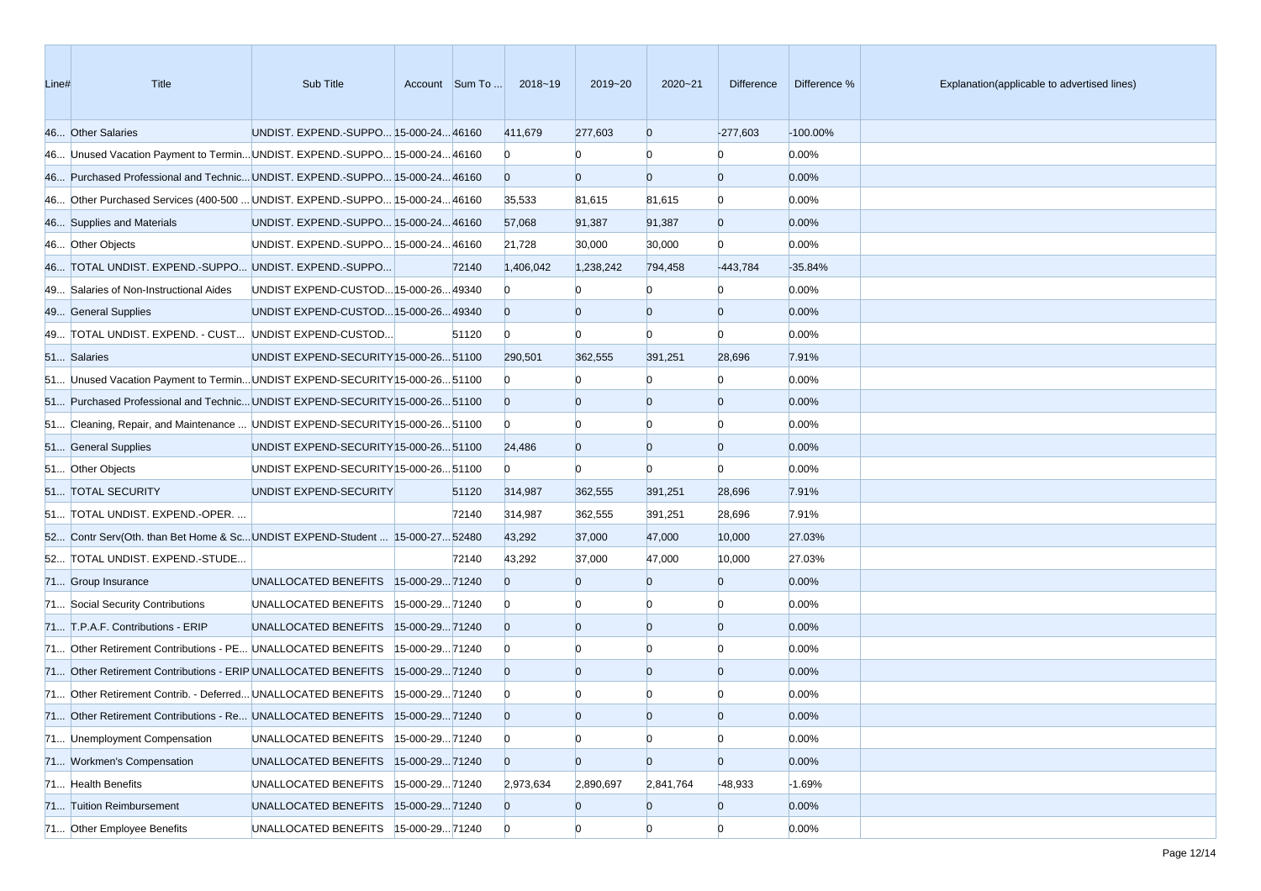| Line# | <b>Title</b>                                                                 | Sub Title                              |                | Account Sum To | 2018~19        | 2019~20        | $2020 - 21$    | Difference     | Difference % | Explanation(applicable to advertised lines) |
|-------|------------------------------------------------------------------------------|----------------------------------------|----------------|----------------|----------------|----------------|----------------|----------------|--------------|---------------------------------------------|
|       | 46 Other Salaries                                                            | UNDIST. EXPEND.-SUPPO 15-000-24 46160  |                |                | 411,679        | 277,603        | $\overline{0}$ | $-277,603$     | -100.00%     |                                             |
|       | 46 Unused Vacation Payment to Termin UNDIST. EXPEND.-SUPPO 15-000-24 46160   |                                        |                |                | $\mathbf{0}$   |                | $\Omega$       | $\Omega$       | 0.00%        |                                             |
|       | 46 Purchased Professional and Technic UNDIST. EXPEND.-SUPPO 15-000-24 46160  |                                        |                |                | $\Omega$       | $\overline{0}$ | $\overline{0}$ | $\overline{0}$ | 0.00%        |                                             |
|       | 46 Other Purchased Services (400-500  UNDIST. EXPEND.-SUPPO 15-000-24 46160  |                                        |                |                | 35,533         | 81,615         | 81,615         | $\overline{0}$ | 0.00%        |                                             |
|       | 46 Supplies and Materials                                                    | UNDIST. EXPEND.-SUPPO 15-000-24 46160  |                |                | 57,068         | 91,387         | 91,387         | $\overline{0}$ | 0.00%        |                                             |
|       | 46 Other Objects                                                             | UNDIST. EXPEND.-SUPPO 15-000-24 46160  |                |                | 21,728         | 30,000         | 30,000         | $\overline{0}$ | 0.00%        |                                             |
|       | 46 TOTAL UNDIST. EXPEND.-SUPPO UNDIST. EXPEND.-SUPPO                         |                                        |                | 72140          | 1,406,042      | 1,238,242      | 794,458        | $-443,784$     | $-35.84%$    |                                             |
|       | 49 Salaries of Non-Instructional Aides                                       | UNDIST EXPEND-CUSTOD 15-000-26 49340   |                |                | $\Omega$       |                | $\Omega$       | n              | 0.00%        |                                             |
|       | 49 General Supplies                                                          | UNDIST EXPEND-CUSTOD 15-000-26 49340   |                |                | $\Omega$       | $\Omega$       | $\overline{0}$ | $\overline{0}$ | 0.00%        |                                             |
|       | 49 TOTAL UNDIST. EXPEND. - CUST UNDIST EXPEND-CUSTOD                         |                                        |                | 51120          | $\overline{0}$ | n              | $\Omega$       | $\Omega$       | 0.00%        |                                             |
|       | 51 Salaries                                                                  | UNDIST EXPEND-SECURITY 15-000-26 51100 |                |                | 290,501        | 362,555        | 391,251        | 28,696         | 7.91%        |                                             |
|       | 51 Unused Vacation Payment to Termin UNDIST EXPEND-SECURITY 15-000-26 51100  |                                        |                |                | $\mathbf{0}$   |                | $\Omega$       | $\Omega$       | 0.00%        |                                             |
|       | 51 Purchased Professional and Technic UNDIST EXPEND-SECURITY 15-000-26 51100 |                                        |                |                | $\overline{0}$ | $\Omega$       | $\overline{0}$ | $\overline{0}$ | 0.00%        |                                             |
|       | 51 Cleaning, Repair, and Maintenance  UNDIST EXPEND-SECURITY 15-000-26 51100 |                                        |                |                | $\overline{0}$ | $\Omega$       | $\Omega$       | $\Omega$       | 0.00%        |                                             |
|       | 51 General Supplies                                                          | UNDIST EXPEND-SECURITY 15-000-26 51100 |                |                | 24,486         | $\overline{0}$ | $\overline{0}$ | $\overline{0}$ | 0.00%        |                                             |
|       | 51 Other Objects                                                             | UNDIST EXPEND-SECURITY 15-000-26 51100 |                |                | $\Omega$       | $\Omega$       | $\Omega$       | $\Omega$       | 0.00%        |                                             |
|       | 51 TOTAL SECURITY                                                            | UNDIST EXPEND-SECURITY                 |                | 51120          | 314,987        | 362,555        | 391,251        | 28,696         | 7.91%        |                                             |
|       | 51 TOTAL UNDIST. EXPEND.-OPER.                                               |                                        |                | 72140          | 314,987        | 362,555        | 391,251        | 28,696         | 7.91%        |                                             |
|       | 52 Contr Serv(Oth. than Bet Home & ScUNDIST EXPEND-Student  15-000-2752480   |                                        |                |                | 43,292         | 37,000         | 47,000         | 10,000         | 27.03%       |                                             |
|       | 52 TOTAL UNDIST. EXPEND.-STUDE                                               |                                        |                | 72140          | 43,292         | 37,000         | 47,000         | 10,000         | 27.03%       |                                             |
|       | 71 Group Insurance                                                           | UNALLOCATED BENEFITS  15-000-2971240   |                |                | $\Omega$       | $\Omega$       | $\Omega$       | $\overline{0}$ | 0.00%        |                                             |
|       | 71 Social Security Contributions                                             | UNALLOCATED BENEFITS                   | 15-000-2971240 |                | $\bf{0}$       |                | $\Omega$       | $\Omega$       | 0.00%        |                                             |
|       | 71 T.P.A.F. Contributions - ERIP                                             | UNALLOCATED BENEFITS  15-000-2971240   |                |                | $\Omega$       | $\Omega$       | $\overline{0}$ | $\overline{0}$ | 0.00%        |                                             |
|       | 71 Other Retirement Contributions - PE UNALLOCATED BENEFITS                  |                                        | 15-000-2971240 |                | $\overline{0}$ |                | $\Omega$       | $\Omega$       | 0.00%        |                                             |
|       | 71 Other Retirement Contributions - ERIP UNALLOCATED BENEFITS                |                                        | 15-000-2971240 |                | $\Omega$       | $\Omega$       | $\overline{0}$ | $\overline{0}$ | 0.00%        |                                             |
|       | 71 Other Retirement Contrib. - Deferred UNALLOCATED BENEFITS                 |                                        | 15-000-2971240 |                | $\bf{0}$       |                |                |                | 0.00%        |                                             |
|       | 71 Other Retirement Contributions - Re UNALLOCATED BENEFITS  15-000-29 71240 |                                        |                |                | $\Omega$       |                | $\Omega$       | $\Omega$       | 0.00%        |                                             |
|       | 71 Unemployment Compensation                                                 | UNALLOCATED BENEFITS                   | 15-000-2971240 |                | $\overline{0}$ | $\overline{0}$ | $\overline{0}$ | $\overline{0}$ | 0.00%        |                                             |
|       | 71 Workmen's Compensation                                                    | UNALLOCATED BENEFITS                   | 15-000-2971240 |                | $\overline{0}$ | $\overline{0}$ | $\overline{0}$ | $\overline{0}$ | 0.00%        |                                             |
|       | 71 Health Benefits                                                           | UNALLOCATED BENEFITS                   | 15-000-2971240 |                | 2,973,634      | 2,890,697      | 2,841,764      | $-48,933$      | $-1.69%$     |                                             |
|       | 71 Tuition Reimbursement                                                     | UNALLOCATED BENEFITS 15-000-29 71240   |                |                | $\overline{0}$ | $\mathbf{0}$   | $\mathbf{0}$   | $\overline{0}$ | 0.00%        |                                             |
|       | 71 Other Employee Benefits                                                   | UNALLOCATED BENEFITS   15-000-29 71240 |                |                | $\overline{0}$ | $\overline{0}$ | $\overline{0}$ | $\overline{0}$ | 0.00%        |                                             |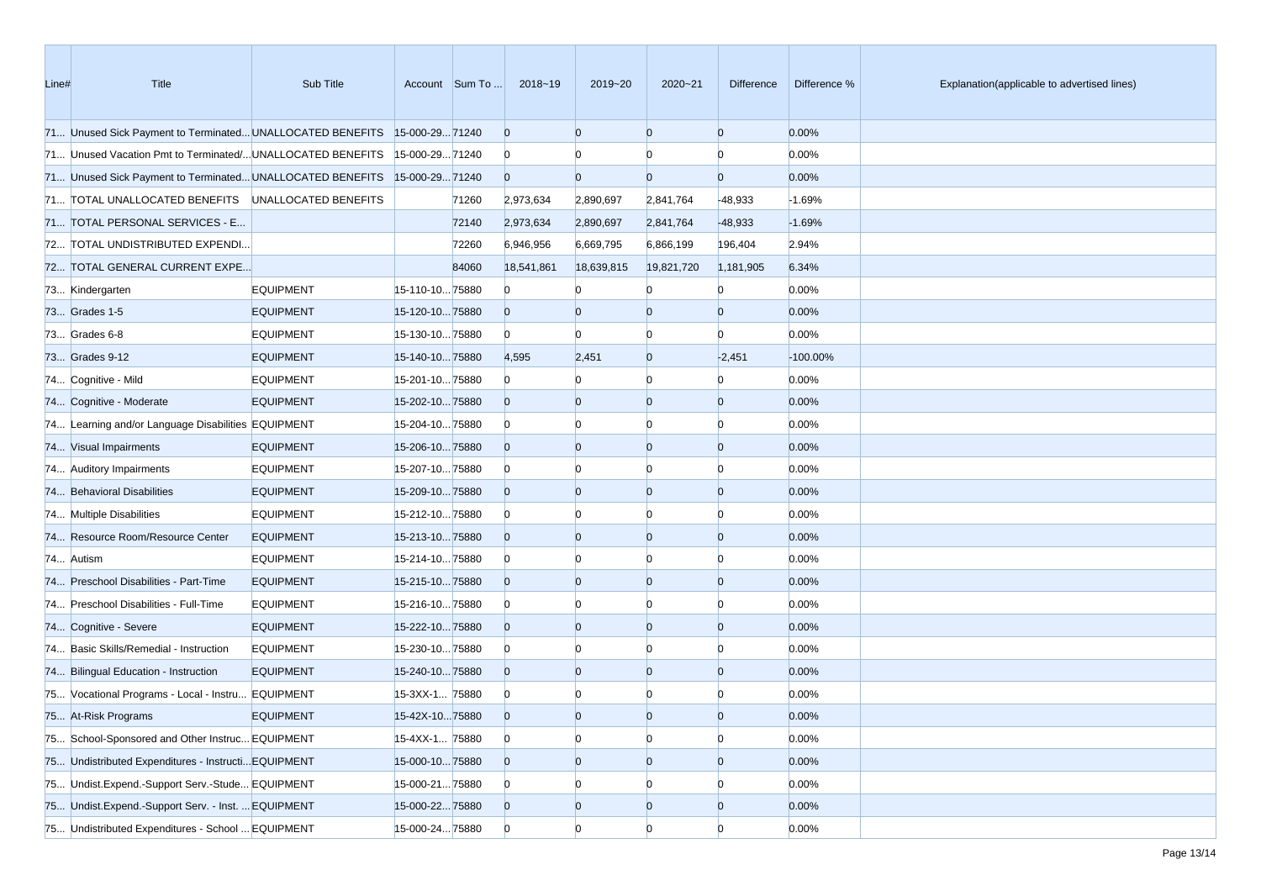| Line# | Title                                                                     | Sub Title        |                | Account Sum To | 2018~19        | 2019~20        | 2020~21        | <b>Difference</b> | Difference % | Explanation(applicable to advertised lines) |
|-------|---------------------------------------------------------------------------|------------------|----------------|----------------|----------------|----------------|----------------|-------------------|--------------|---------------------------------------------|
|       | 71 Unused Sick Payment to Terminated UNALLOCATED BENEFITS 15-000-29 71240 |                  |                |                | $\overline{0}$ | $\overline{0}$ | $\overline{0}$ | $\overline{0}$    | 0.00%        |                                             |
|       | 71 Unused Vacation Pmt to Terminated/ UNALLOCATED BENEFITS                |                  | 15-000-2971240 |                | $\bf{0}$       |                | $\Omega$       | $\Omega$          | 0.00%        |                                             |
|       | 71 Unused Sick Payment to Terminated UNALLOCATED BENEFITS 15-000-29 71240 |                  |                |                | $\overline{0}$ | $\Omega$       | $\overline{0}$ | $\overline{0}$    | 0.00%        |                                             |
|       | 71 TOTAL UNALLOCATED BENEFITS UNALLOCATED BENEFITS                        |                  |                | 71260          | 2,973,634      | 2,890,697      | 2,841,764      | $-48,933$         | $-1.69%$     |                                             |
|       | 71 TOTAL PERSONAL SERVICES - E                                            |                  |                | 72140          | 2,973,634      | 2,890,697      | 2,841,764      | $-48,933$         | $-1.69%$     |                                             |
|       | 72 TOTAL UNDISTRIBUTED EXPENDI                                            |                  |                | 72260          | 6,946,956      | 6,669,795      | 6,866,199      | 196,404           | 2.94%        |                                             |
|       | 72 TOTAL GENERAL CURRENT EXPE                                             |                  |                | 84060          | 18,541,861     | 18,639,815     | 19,821,720     | 1,181,905         | 6.34%        |                                             |
|       | 73 Kindergarten                                                           | <b>EQUIPMENT</b> | 15-110-1075880 |                | $\Omega$       |                | $\Omega$       | $\Omega$          | 0.00%        |                                             |
|       | 73 Grades 1-5                                                             | <b>EQUIPMENT</b> | 15-120-1075880 |                | $\overline{0}$ | 0              | $\bf{0}$       | $\Omega$          | 0.00%        |                                             |
|       | 73 Grades 6-8                                                             | <b>EQUIPMENT</b> | 15-130-1075880 |                | $\overline{0}$ |                | $\bf{0}$       |                   | 0.00%        |                                             |
|       | 73 Grades 9-12                                                            | <b>EQUIPMENT</b> | 15-140-1075880 |                | 4,595          | 2,451          | $\overline{0}$ | $-2,451$          | $-100.00\%$  |                                             |
|       | 74 Cognitive - Mild                                                       | <b>EQUIPMENT</b> | 15-201-1075880 |                | $\Omega$       |                | $\Omega$       | n                 | 0.00%        |                                             |
|       | 74 Cognitive - Moderate                                                   | <b>EQUIPMENT</b> | 15-202-1075880 |                | $\overline{0}$ | 0              | $\overline{0}$ | $\overline{0}$    | 0.00%        |                                             |
|       | 74 Learning and/or Language Disabilities EQUIPMENT                        |                  | 15-204-1075880 |                | $\bf{0}$       |                | $\bf{0}$       | $\Omega$          | 0.00%        |                                             |
|       | 74 Visual Impairments                                                     | <b>EQUIPMENT</b> | 15-206-1075880 |                | $\overline{0}$ | $\Omega$       | $\overline{0}$ | $\overline{0}$    | 0.00%        |                                             |
|       | 74 Auditory Impairments                                                   | <b>EQUIPMENT</b> | 15-207-1075880 |                | $\bf{0}$       |                | $\Omega$       | n                 | 0.00%        |                                             |
|       | 74 Behavioral Disabilities                                                | <b>EQUIPMENT</b> | 15-209-1075880 |                | $\overline{0}$ | 0              | $\overline{0}$ | $\Omega$          | 0.00%        |                                             |
|       | 74 Multiple Disabilities                                                  | <b>EQUIPMENT</b> | 15-212-1075880 |                | $\overline{0}$ |                | $\Omega$       | n                 | 0.00%        |                                             |
|       | 74 Resource Room/Resource Center                                          | <b>EQUIPMENT</b> | 15-213-1075880 |                | $\overline{0}$ | $\Omega$       | $\overline{0}$ | $\overline{0}$    | 0.00%        |                                             |
|       | 74 Autism                                                                 | <b>EQUIPMENT</b> | 15-214-1075880 |                | $\bf{0}$       |                | $\bf{0}$       | n                 | 0.00%        |                                             |
|       | 74 Preschool Disabilities - Part-Time                                     | <b>EQUIPMENT</b> | 15-215-1075880 |                | $\overline{0}$ | 0              | $\overline{0}$ | $\overline{0}$    | 0.00%        |                                             |
|       | 74 Preschool Disabilities - Full-Time                                     | <b>EQUIPMENT</b> | 15-216-1075880 |                | $\overline{0}$ |                | $\Omega$       | n                 | 0.00%        |                                             |
|       | 74 Cognitive - Severe                                                     | <b>EQUIPMENT</b> | 15-222-1075880 |                | $\overline{0}$ | $\Omega$       | $\overline{0}$ | $\Omega$          | 0.00%        |                                             |
|       | 74 Basic Skills/Remedial - Instruction                                    | <b>EQUIPMENT</b> | 15-230-1075880 |                | $\bf{0}$       |                | $\Omega$       | n                 | 0.00%        |                                             |
|       | 74 Bilingual Education - Instruction                                      | <b>EQUIPMENT</b> | 15-240-1075880 |                | $\overline{0}$ | $\Omega$       | $\overline{0}$ | $\Omega$          | 0.00%        |                                             |
|       | 75 Vocational Programs - Local - Instru EQUIPMENT                         |                  | 15-3XX-1 75880 |                | $\overline{0}$ |                |                |                   | 0.00%        |                                             |
|       | 75 At-Risk Programs                                                       | <b>EQUIPMENT</b> | 15-42X-1075880 |                | $\Omega$       | $\Omega$       | $\Omega$       | n                 | 0.00%        |                                             |
|       | 75 School-Sponsored and Other Instruc EQUIPMENT                           |                  | 15-4XX-1 75880 |                | $\overline{0}$ | $\bf{0}$       | $\overline{0}$ | $\overline{0}$    | 0.00%        |                                             |
|       | 75 Undistributed Expenditures - Instructi EQUIPMENT                       |                  | 15-000-1075880 |                | $\overline{0}$ | $\overline{0}$ | $\overline{0}$ | $\overline{0}$    | 0.00%        |                                             |
|       | 75 Undist.Expend.-Support Serv.-Stude EQUIPMENT                           |                  | 15-000-2175880 |                | $\mathbf{0}$   | $\Omega$       | $\overline{0}$ |                   | 0.00%        |                                             |
|       | 75 Undist.Expend.-Support Serv. - Inst.  EQUIPMENT                        |                  | 15-000-2275880 |                | $\overline{0}$ | $\bf{0}$       | $\overline{0}$ | $\overline{0}$    | 0.00%        |                                             |
|       | 75 Undistributed Expenditures - School  EQUIPMENT                         |                  | 15-000-2475880 |                | $\overline{0}$ | $\overline{0}$ | $\overline{0}$ | $\overline{0}$    | 0.00%        |                                             |